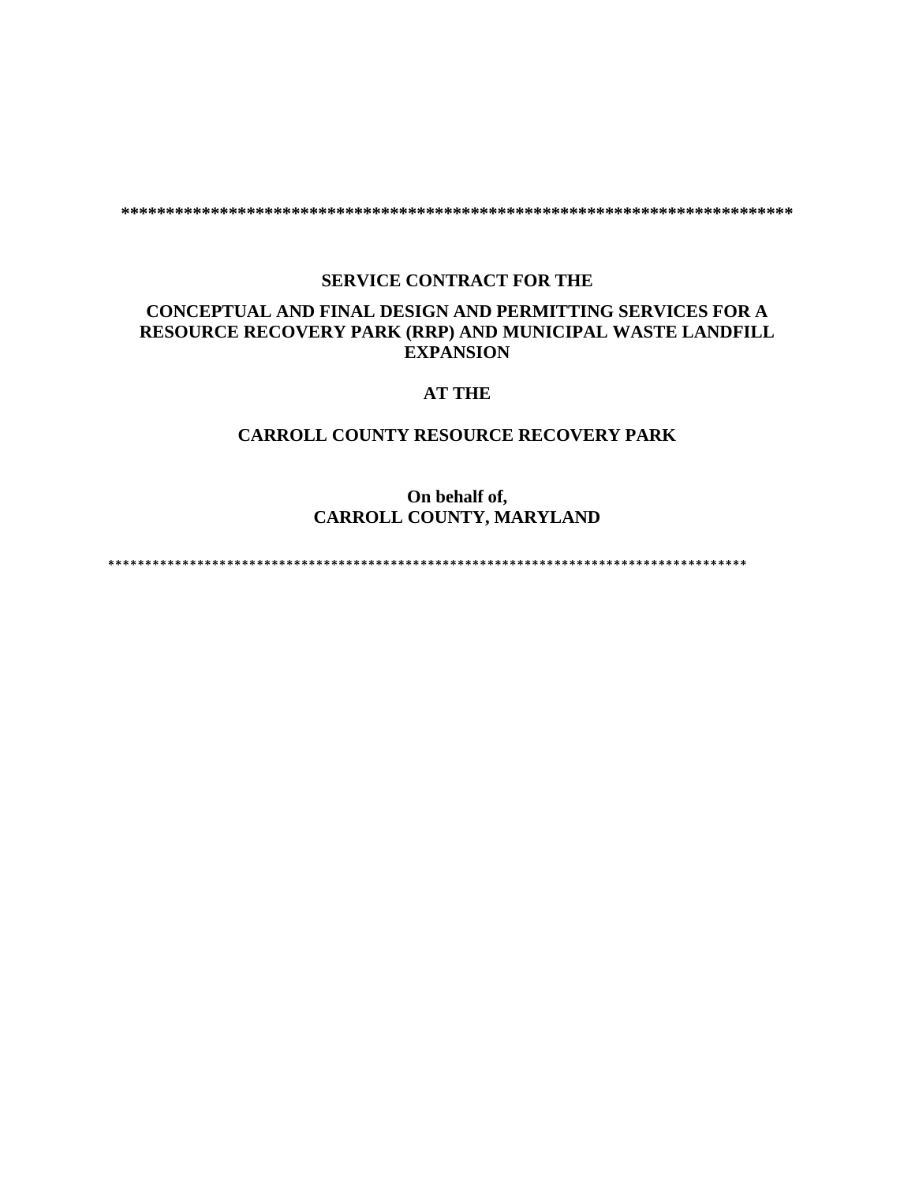**\*\*\*\*\*\*\*\*\*\*\*\*\*\*\*\*\*\*\*\*\*\*\*\*\*\*\*\*\*\*\*\*\*\*\*\*\*\*\*\*\*\*\*\*\*\*\*\*\*\*\*\*\*\*\*\*\*\*\*\*\*\*\*\*\*\*\*\*\*\*\*\*\*\*\***

## **SERVICE CONTRACT FOR THE**

# **CONCEPTUAL AND FINAL DESIGN AND PERMITTING SERVICES FOR A RESOURCE RECOVERY PARK (RRP) AND MUNICIPAL WASTE LANDFILL EXPANSION**

# **AT THE**

## **CARROLL COUNTY RESOURCE RECOVERY PARK**

# **On behalf of, CARROLL COUNTY, MARYLAND**

\*\*\*\*\*\*\*\*\*\*\*\*\*\*\*\*\*\*\*\*\*\*\*\*\*\*\*\*\*\*\*\*\*\*\*\*\*\*\*\*\*\*\*\*\*\*\*\*\*\*\*\*\*\*\*\*\*\*\*\*\*\*\*\*\*\*\*\*\*\*\*\*\*\*\*\*\*\*\*\*\*\*\*\*\*\*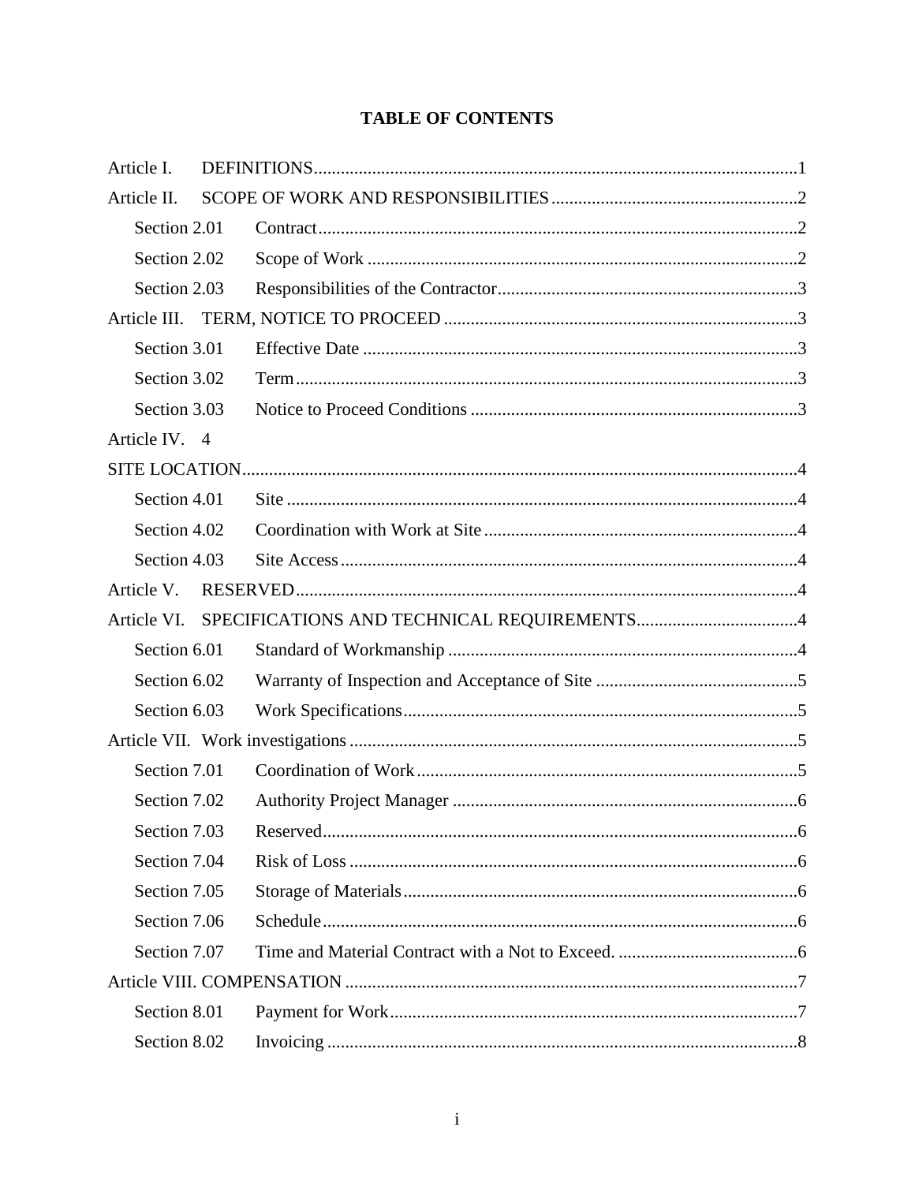# **TABLE OF CONTENTS**

| Article I.    |  |
|---------------|--|
| Article II.   |  |
| Section 2.01  |  |
| Section 2.02  |  |
| Section 2.03  |  |
| Article III.  |  |
| Section 3.01  |  |
| Section 3.02  |  |
| Section 3.03  |  |
| Article IV. 4 |  |
|               |  |
| Section 4.01  |  |
| Section 4.02  |  |
| Section 4.03  |  |
| Article V.    |  |
| Article VI.   |  |
| Section 6.01  |  |
| Section 6.02  |  |
| Section 6.03  |  |
|               |  |
| Section 7.01  |  |
| Section 7.02  |  |
| Section 7.03  |  |
| Section 7.04  |  |
| Section 7.05  |  |
| Section 7.06  |  |
| Section 7.07  |  |
|               |  |
| Section 8.01  |  |
| Section 8.02  |  |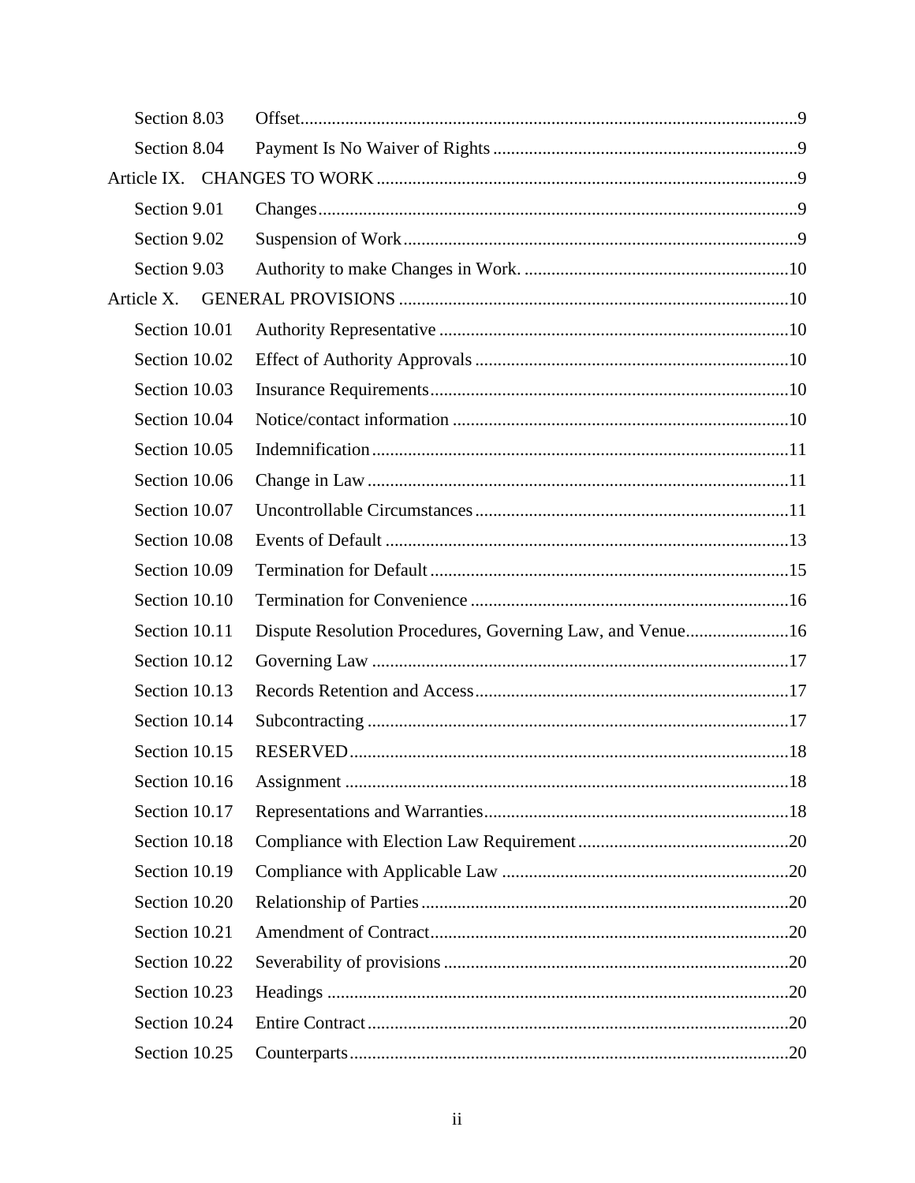| Section 8.03  |                                                           |  |
|---------------|-----------------------------------------------------------|--|
| Section 8.04  |                                                           |  |
|               |                                                           |  |
| Section 9.01  |                                                           |  |
| Section 9.02  |                                                           |  |
| Section 9.03  |                                                           |  |
| Article X.    |                                                           |  |
| Section 10.01 |                                                           |  |
| Section 10.02 |                                                           |  |
| Section 10.03 |                                                           |  |
| Section 10.04 |                                                           |  |
| Section 10.05 |                                                           |  |
| Section 10.06 |                                                           |  |
| Section 10.07 |                                                           |  |
| Section 10.08 |                                                           |  |
| Section 10.09 |                                                           |  |
| Section 10.10 |                                                           |  |
| Section 10.11 | Dispute Resolution Procedures, Governing Law, and Venue16 |  |
| Section 10.12 |                                                           |  |
| Section 10.13 |                                                           |  |
| Section 10.14 |                                                           |  |
| Section 10.15 |                                                           |  |
| Section 10.16 |                                                           |  |
| Section 10.17 |                                                           |  |
| Section 10.18 |                                                           |  |
| Section 10.19 |                                                           |  |
| Section 10.20 |                                                           |  |
| Section 10.21 |                                                           |  |
| Section 10.22 |                                                           |  |
| Section 10.23 |                                                           |  |
| Section 10.24 |                                                           |  |
| Section 10.25 |                                                           |  |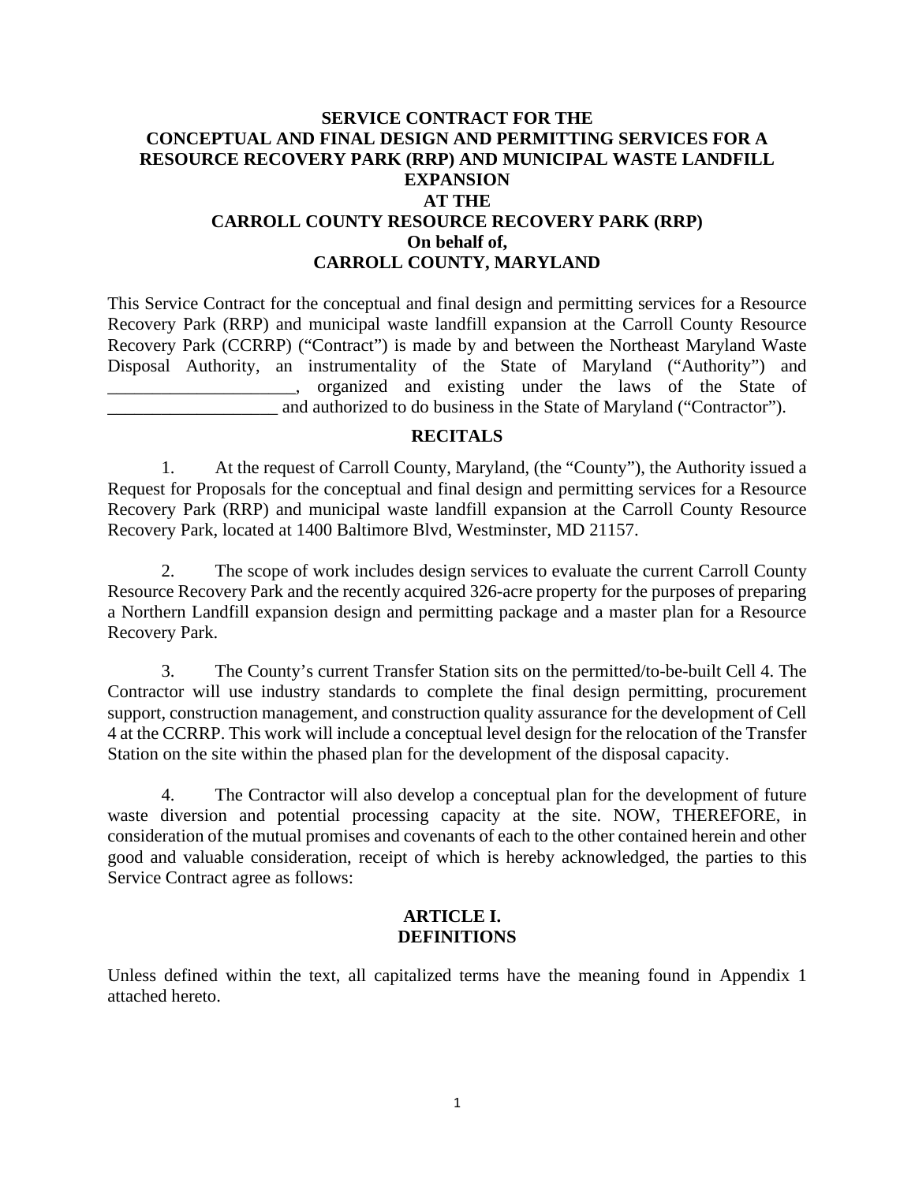# **SERVICE CONTRACT FOR THE CONCEPTUAL AND FINAL DESIGN AND PERMITTING SERVICES FOR A RESOURCE RECOVERY PARK (RRP) AND MUNICIPAL WASTE LANDFILL EXPANSION AT THE CARROLL COUNTY RESOURCE RECOVERY PARK (RRP) On behalf of, CARROLL COUNTY, MARYLAND**

This Service Contract for the conceptual and final design and permitting services for a Resource Recovery Park (RRP) and municipal waste landfill expansion at the Carroll County Resource Recovery Park (CCRRP) ("Contract") is made by and between the Northeast Maryland Waste Disposal Authority, an instrumentality of the State of Maryland ("Authority") and \_\_\_\_\_\_\_\_\_\_\_\_\_\_\_\_\_\_\_\_\_, organized and existing under the laws of the State of and authorized to do business in the State of Maryland ("Contractor").

### **RECITALS**

1. At the request of Carroll County, Maryland, (the "County"), the Authority issued a Request for Proposals for the conceptual and final design and permitting services for a Resource Recovery Park (RRP) and municipal waste landfill expansion at the Carroll County Resource Recovery Park, located at 1400 Baltimore Blvd, Westminster, MD 21157.

2. The scope of work includes design services to evaluate the current Carroll County Resource Recovery Park and the recently acquired 326-acre property for the purposes of preparing a Northern Landfill expansion design and permitting package and a master plan for a Resource Recovery Park.

3. The County's current Transfer Station sits on the permitted/to-be-built Cell 4. The Contractor will use industry standards to complete the final design permitting, procurement support, construction management, and construction quality assurance for the development of Cell 4 at the CCRRP. This work will include a conceptual level design for the relocation of the Transfer Station on the site within the phased plan for the development of the disposal capacity.

4. The Contractor will also develop a conceptual plan for the development of future waste diversion and potential processing capacity at the site. NOW, THEREFORE, in consideration of the mutual promises and covenants of each to the other contained herein and other good and valuable consideration, receipt of which is hereby acknowledged, the parties to this Service Contract agree as follows:

### **ARTICLE I. DEFINITIONS**

Unless defined within the text, all capitalized terms have the meaning found in Appendix 1 attached hereto.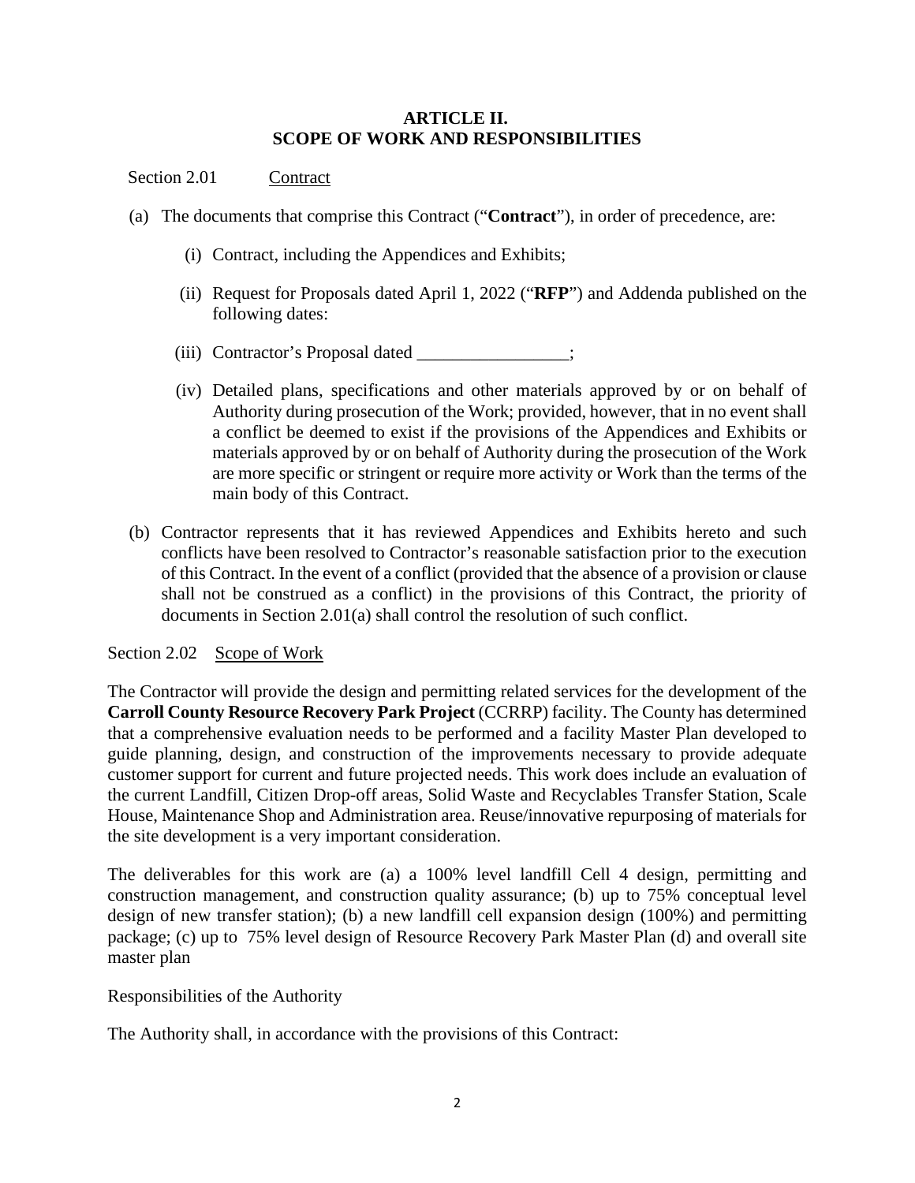## **ARTICLE II. SCOPE OF WORK AND RESPONSIBILITIES**

## Section 2.01 Contract

- (a) The documents that comprise this Contract ("**Contract**"), in order of precedence, are:
	- (i) Contract, including the Appendices and Exhibits;
	- (ii) Request for Proposals dated April 1, 2022 ("**RFP**") and Addenda published on the following dates:
	- (iii) Contractor's Proposal dated \_\_\_\_\_\_\_\_\_\_\_\_\_\_\_\_\_;
	- (iv) Detailed plans, specifications and other materials approved by or on behalf of Authority during prosecution of the Work; provided, however, that in no event shall a conflict be deemed to exist if the provisions of the Appendices and Exhibits or materials approved by or on behalf of Authority during the prosecution of the Work are more specific or stringent or require more activity or Work than the terms of the main body of this Contract.
- (b) Contractor represents that it has reviewed Appendices and Exhibits hereto and such conflicts have been resolved to Contractor's reasonable satisfaction prior to the execution of this Contract. In the event of a conflict (provided that the absence of a provision or clause shall not be construed as a conflict) in the provisions of this Contract, the priority of documents in Section 2.01(a) shall control the resolution of such conflict.

#### Section 2.02 Scope of Work

The Contractor will provide the design and permitting related services for the development of the **Carroll County Resource Recovery Park Project** (CCRRP) facility. The County has determined that a comprehensive evaluation needs to be performed and a facility Master Plan developed to guide planning, design, and construction of the improvements necessary to provide adequate customer support for current and future projected needs. This work does include an evaluation of the current Landfill, Citizen Drop-off areas, Solid Waste and Recyclables Transfer Station, Scale House, Maintenance Shop and Administration area. Reuse/innovative repurposing of materials for the site development is a very important consideration.

The deliverables for this work are (a) a 100% level landfill Cell 4 design, permitting and construction management, and construction quality assurance; (b) up to 75% conceptual level design of new transfer station); (b) a new landfill cell expansion design (100%) and permitting package; (c) up to 75% level design of Resource Recovery Park Master Plan (d) and overall site master plan

## Responsibilities of the Authority

The Authority shall, in accordance with the provisions of this Contract: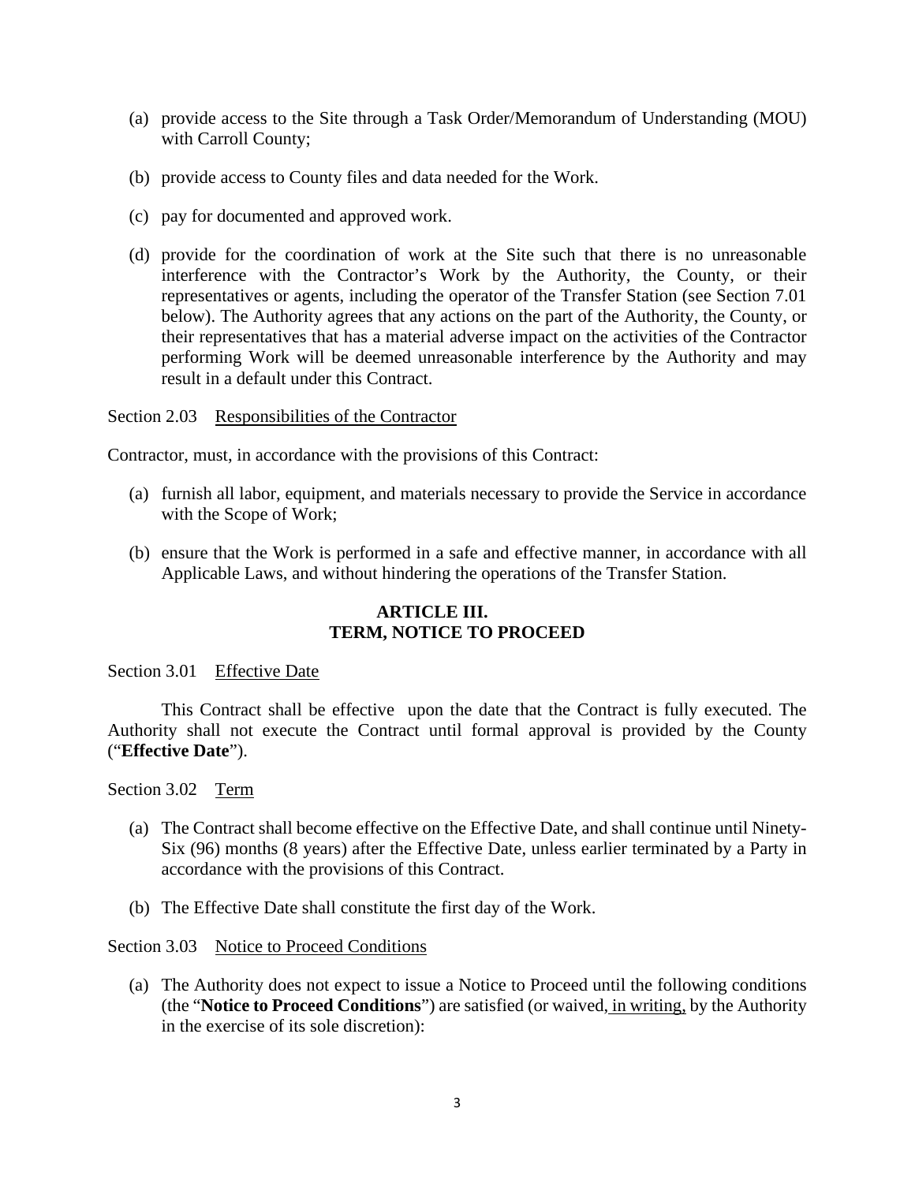- (a) provide access to the Site through a Task Order/Memorandum of Understanding (MOU) with Carroll County;
- (b) provide access to County files and data needed for the Work.
- (c) pay for documented and approved work.
- (d) provide for the coordination of work at the Site such that there is no unreasonable interference with the Contractor's Work by the Authority, the County, or their representatives or agents, including the operator of the Transfer Station (see Section 7.01 below). The Authority agrees that any actions on the part of the Authority, the County, or their representatives that has a material adverse impact on the activities of the Contractor performing Work will be deemed unreasonable interference by the Authority and may result in a default under this Contract.

Section 2.03 Responsibilities of the Contractor

Contractor, must, in accordance with the provisions of this Contract:

- (a) furnish all labor, equipment, and materials necessary to provide the Service in accordance with the Scope of Work;
- (b) ensure that the Work is performed in a safe and effective manner, in accordance with all Applicable Laws, and without hindering the operations of the Transfer Station.

## **ARTICLE III. TERM, NOTICE TO PROCEED**

## Section 3.01 Effective Date

This Contract shall be effective upon the date that the Contract is fully executed. The Authority shall not execute the Contract until formal approval is provided by the County ("**Effective Date**").

Section 3.02 Term

- (a) The Contract shall become effective on the Effective Date, and shall continue until Ninety-Six (96) months (8 years) after the Effective Date, unless earlier terminated by a Party in accordance with the provisions of this Contract.
- (b) The Effective Date shall constitute the first day of the Work.

#### Section 3.03 Notice to Proceed Conditions

(a) The Authority does not expect to issue a Notice to Proceed until the following conditions (the "**Notice to Proceed Conditions**") are satisfied (or waived, in writing, by the Authority in the exercise of its sole discretion):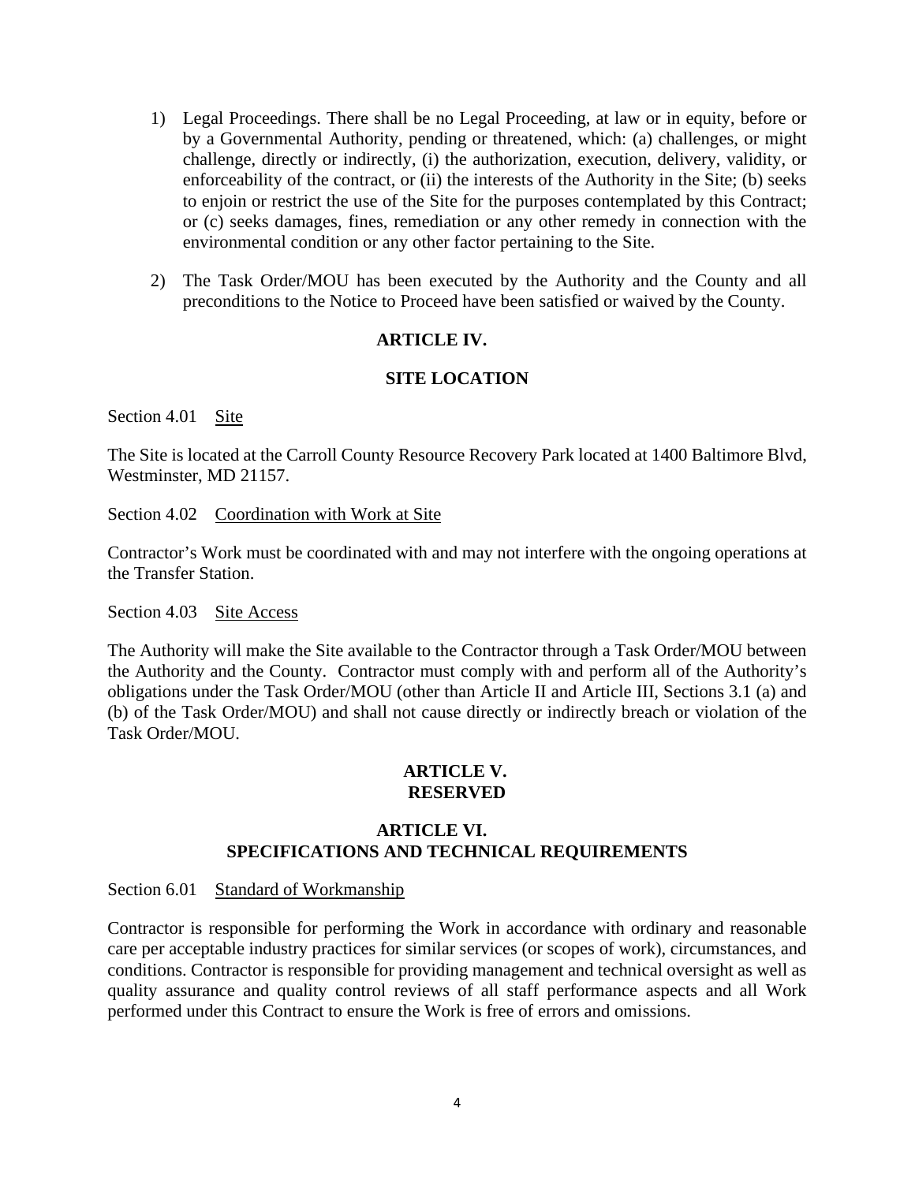- 1) Legal Proceedings. There shall be no Legal Proceeding, at law or in equity, before or by a Governmental Authority, pending or threatened, which: (a) challenges, or might challenge, directly or indirectly, (i) the authorization, execution, delivery, validity, or enforceability of the contract, or (ii) the interests of the Authority in the Site; (b) seeks to enjoin or restrict the use of the Site for the purposes contemplated by this Contract; or (c) seeks damages, fines, remediation or any other remedy in connection with the environmental condition or any other factor pertaining to the Site.
- 2) The Task Order/MOU has been executed by the Authority and the County and all preconditions to the Notice to Proceed have been satisfied or waived by the County.

### **ARTICLE IV.**

## **SITE LOCATION**

Section 4.01 Site

The Site is located at the Carroll County Resource Recovery Park located at 1400 Baltimore Blvd, Westminster, MD 21157.

Section 4.02 Coordination with Work at Site

Contractor's Work must be coordinated with and may not interfere with the ongoing operations at the Transfer Station.

Section 4.03 Site Access

The Authority will make the Site available to the Contractor through a Task Order/MOU between the Authority and the County. Contractor must comply with and perform all of the Authority's obligations under the Task Order/MOU (other than Article II and Article III, Sections 3.1 (a) and (b) of the Task Order/MOU) and shall not cause directly or indirectly breach or violation of the Task Order/MOU.

### **ARTICLE V. RESERVED**

## **ARTICLE VI. SPECIFICATIONS AND TECHNICAL REQUIREMENTS**

Section 6.01 Standard of Workmanship

Contractor is responsible for performing the Work in accordance with ordinary and reasonable care per acceptable industry practices for similar services (or scopes of work), circumstances, and conditions. Contractor is responsible for providing management and technical oversight as well as quality assurance and quality control reviews of all staff performance aspects and all Work performed under this Contract to ensure the Work is free of errors and omissions.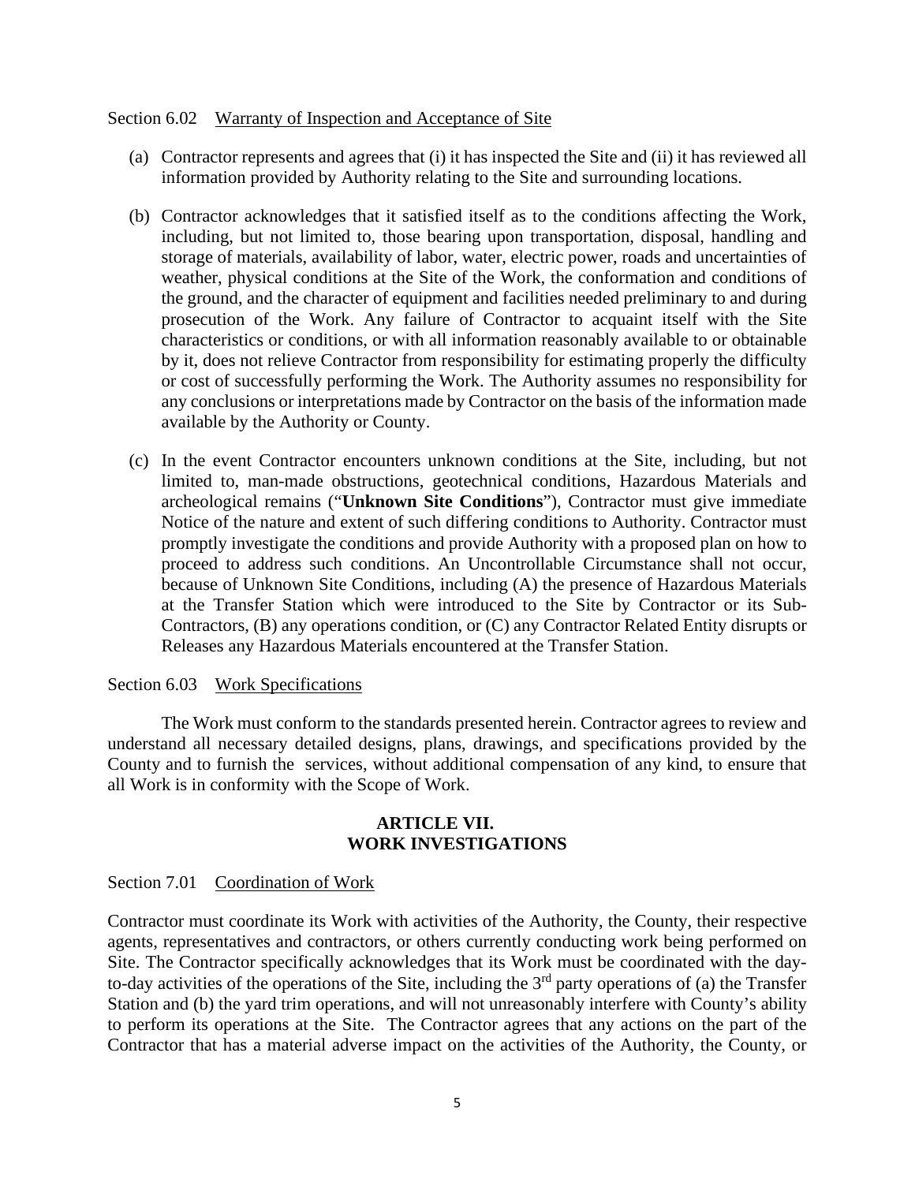#### Section 6.02 Warranty of Inspection and Acceptance of Site

- (a) Contractor represents and agrees that (i) it has inspected the Site and (ii) it has reviewed all information provided by Authority relating to the Site and surrounding locations.
- (b) Contractor acknowledges that it satisfied itself as to the conditions affecting the Work, including, but not limited to, those bearing upon transportation, disposal, handling and storage of materials, availability of labor, water, electric power, roads and uncertainties of weather, physical conditions at the Site of the Work, the conformation and conditions of the ground, and the character of equipment and facilities needed preliminary to and during prosecution of the Work. Any failure of Contractor to acquaint itself with the Site characteristics or conditions, or with all information reasonably available to or obtainable by it, does not relieve Contractor from responsibility for estimating properly the difficulty or cost of successfully performing the Work. The Authority assumes no responsibility for any conclusions or interpretations made by Contractor on the basis of the information made available by the Authority or County.
- (c) In the event Contractor encounters unknown conditions at the Site, including, but not limited to, man-made obstructions, geotechnical conditions, Hazardous Materials and archeological remains ("**Unknown Site Conditions**"), Contractor must give immediate Notice of the nature and extent of such differing conditions to Authority. Contractor must promptly investigate the conditions and provide Authority with a proposed plan on how to proceed to address such conditions. An Uncontrollable Circumstance shall not occur, because of Unknown Site Conditions, including (A) the presence of Hazardous Materials at the Transfer Station which were introduced to the Site by Contractor or its Sub-Contractors, (B) any operations condition, or (C) any Contractor Related Entity disrupts or Releases any Hazardous Materials encountered at the Transfer Station.

#### Section 6.03 Work Specifications

The Work must conform to the standards presented herein. Contractor agrees to review and understand all necessary detailed designs, plans, drawings, and specifications provided by the County and to furnish the services, without additional compensation of any kind, to ensure that all Work is in conformity with the Scope of Work.

### **ARTICLE VII. WORK INVESTIGATIONS**

Section 7.01 Coordination of Work

Contractor must coordinate its Work with activities of the Authority, the County, their respective agents, representatives and contractors, or others currently conducting work being performed on Site. The Contractor specifically acknowledges that its Work must be coordinated with the dayto-day activities of the operations of the Site, including the  $3<sup>rd</sup>$  party operations of (a) the Transfer Station and (b) the yard trim operations, and will not unreasonably interfere with County's ability to perform its operations at the Site. The Contractor agrees that any actions on the part of the Contractor that has a material adverse impact on the activities of the Authority, the County, or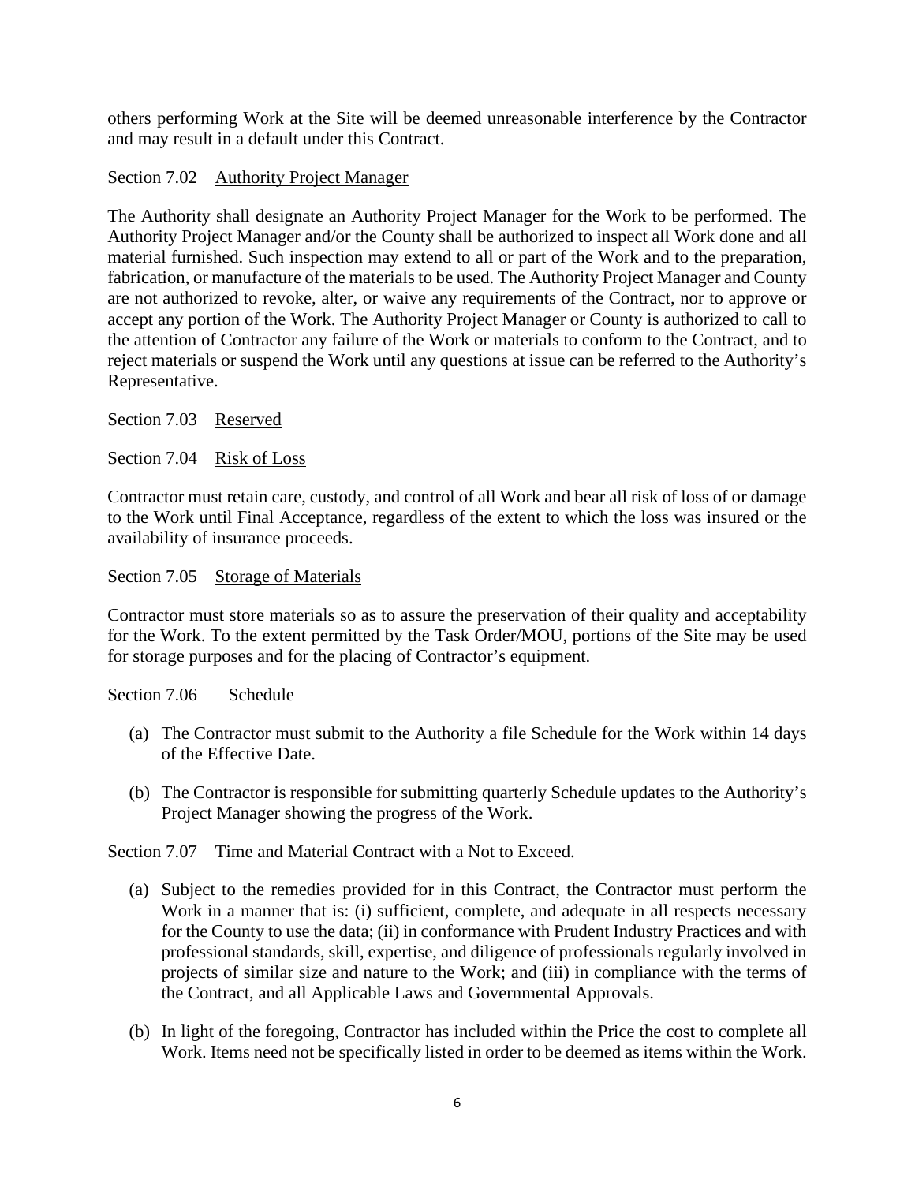others performing Work at the Site will be deemed unreasonable interference by the Contractor and may result in a default under this Contract.

## Section 7.02 Authority Project Manager

The Authority shall designate an Authority Project Manager for the Work to be performed. The Authority Project Manager and/or the County shall be authorized to inspect all Work done and all material furnished. Such inspection may extend to all or part of the Work and to the preparation, fabrication, or manufacture of the materials to be used. The Authority Project Manager and County are not authorized to revoke, alter, or waive any requirements of the Contract, nor to approve or accept any portion of the Work. The Authority Project Manager or County is authorized to call to the attention of Contractor any failure of the Work or materials to conform to the Contract, and to reject materials or suspend the Work until any questions at issue can be referred to the Authority's Representative.

Section 7.03 Reserved

Section 7.04 Risk of Loss

Contractor must retain care, custody, and control of all Work and bear all risk of loss of or damage to the Work until Final Acceptance, regardless of the extent to which the loss was insured or the availability of insurance proceeds.

### Section 7.05 Storage of Materials

Contractor must store materials so as to assure the preservation of their quality and acceptability for the Work. To the extent permitted by the Task Order/MOU, portions of the Site may be used for storage purposes and for the placing of Contractor's equipment.

#### Section 7.06 Schedule

- (a) The Contractor must submit to the Authority a file Schedule for the Work within 14 days of the Effective Date.
- (b) The Contractor is responsible for submitting quarterly Schedule updates to the Authority's Project Manager showing the progress of the Work.

## Section 7.07 Time and Material Contract with a Not to Exceed.

- (a) Subject to the remedies provided for in this Contract, the Contractor must perform the Work in a manner that is: (i) sufficient, complete, and adequate in all respects necessary for the County to use the data; (ii) in conformance with Prudent Industry Practices and with professional standards, skill, expertise, and diligence of professionals regularly involved in projects of similar size and nature to the Work; and (iii) in compliance with the terms of the Contract, and all Applicable Laws and Governmental Approvals.
- (b) In light of the foregoing, Contractor has included within the Price the cost to complete all Work. Items need not be specifically listed in order to be deemed as items within the Work.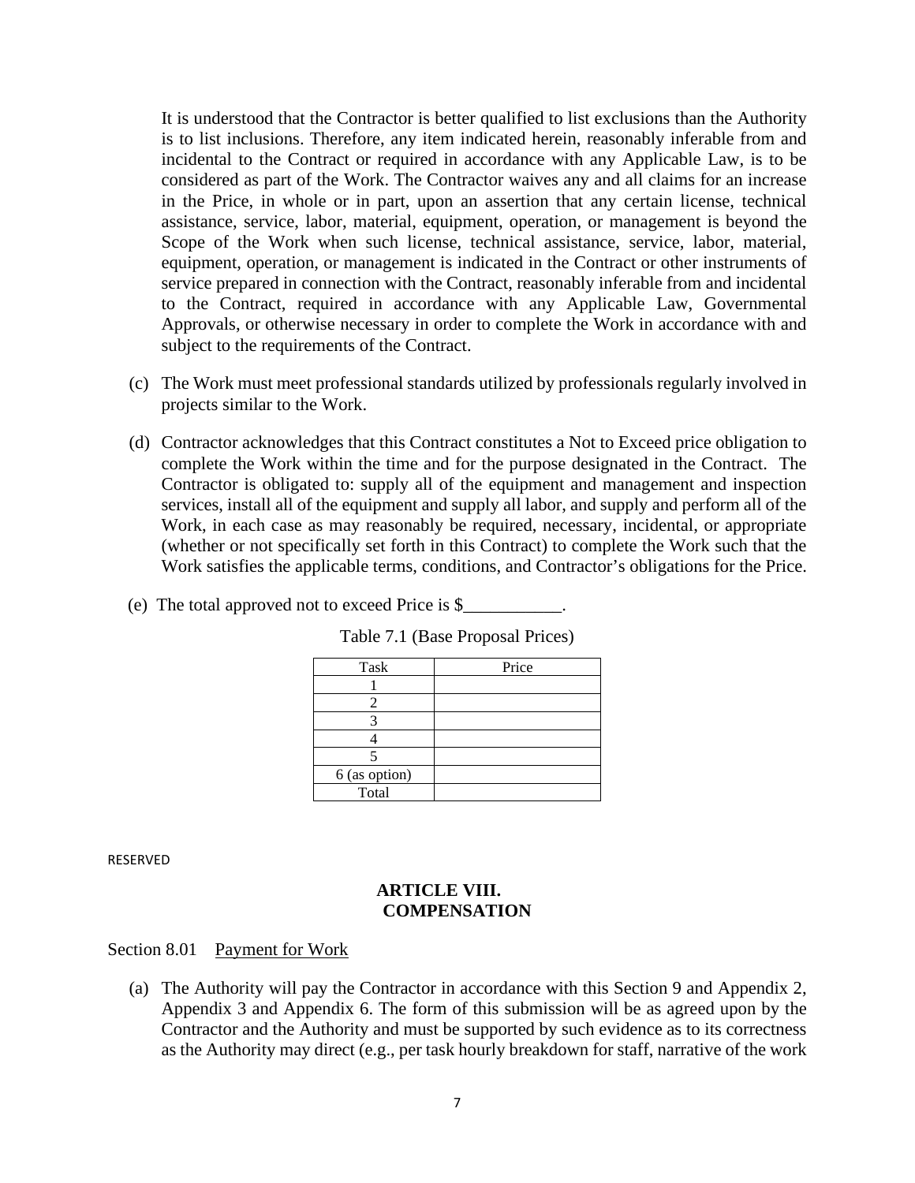It is understood that the Contractor is better qualified to list exclusions than the Authority is to list inclusions. Therefore, any item indicated herein, reasonably inferable from and incidental to the Contract or required in accordance with any Applicable Law, is to be considered as part of the Work. The Contractor waives any and all claims for an increase in the Price, in whole or in part, upon an assertion that any certain license, technical assistance, service, labor, material, equipment, operation, or management is beyond the Scope of the Work when such license, technical assistance, service, labor, material, equipment, operation, or management is indicated in the Contract or other instruments of service prepared in connection with the Contract, reasonably inferable from and incidental to the Contract, required in accordance with any Applicable Law, Governmental Approvals, or otherwise necessary in order to complete the Work in accordance with and subject to the requirements of the Contract.

- (c) The Work must meet professional standards utilized by professionals regularly involved in projects similar to the Work.
- (d) Contractor acknowledges that this Contract constitutes a Not to Exceed price obligation to complete the Work within the time and for the purpose designated in the Contract. The Contractor is obligated to: supply all of the equipment and management and inspection services, install all of the equipment and supply all labor, and supply and perform all of the Work, in each case as may reasonably be required, necessary, incidental, or appropriate (whether or not specifically set forth in this Contract) to complete the Work such that the Work satisfies the applicable terms, conditions, and Contractor's obligations for the Price.
- (e) The total approved not to exceed Price is \$\_\_\_\_\_\_\_\_\_\_\_.

| Task            | Price |
|-----------------|-------|
|                 |       |
|                 |       |
|                 |       |
|                 |       |
|                 |       |
| $6$ (as option) |       |
| Total           |       |

Table 7.1 (Base Proposal Prices)

RESERVED

### **ARTICLE VIII. COMPENSATION**

#### Section 8.01 Payment for Work

(a) The Authority will pay the Contractor in accordance with this Section 9 and Appendix 2, Appendix 3 and Appendix 6. The form of this submission will be as agreed upon by the Contractor and the Authority and must be supported by such evidence as to its correctness as the Authority may direct (e.g., per task hourly breakdown for staff, narrative of the work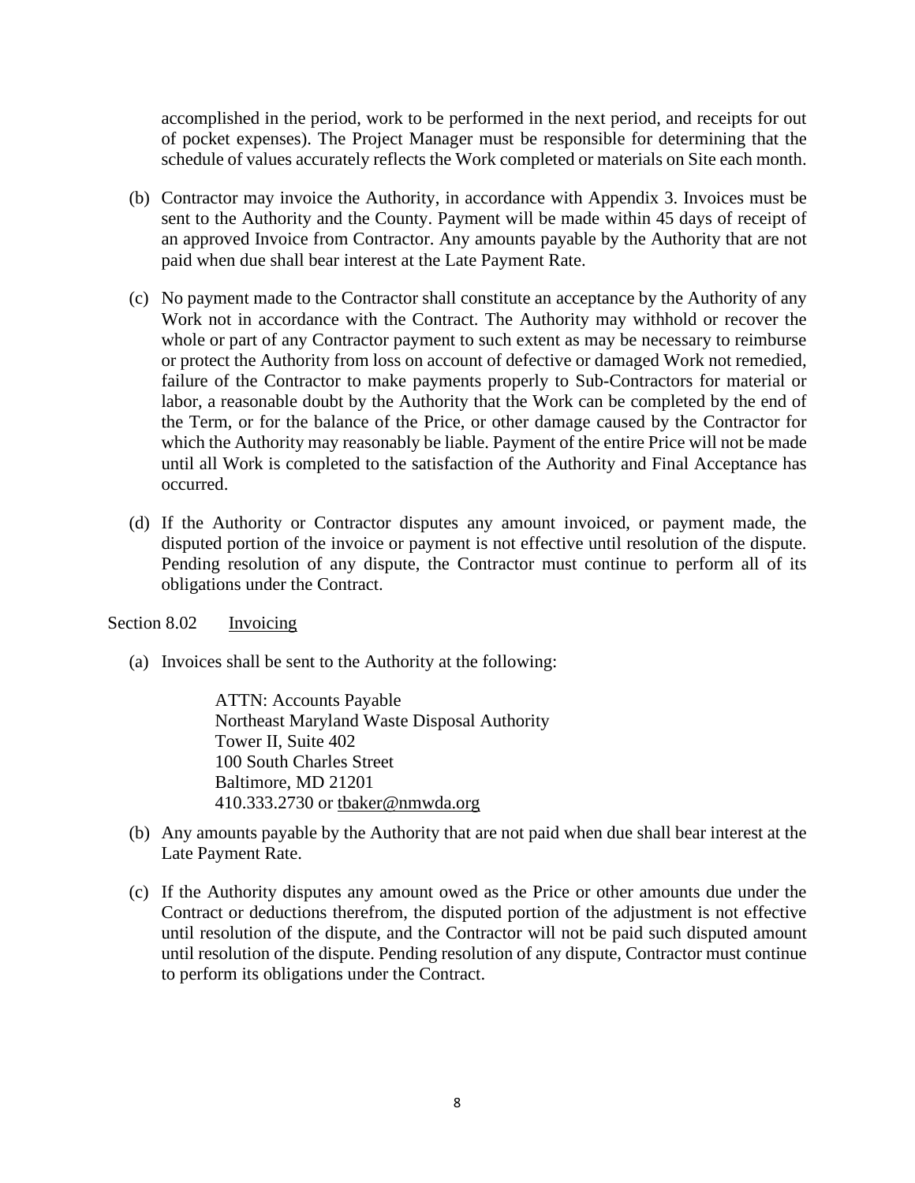accomplished in the period, work to be performed in the next period, and receipts for out of pocket expenses). The Project Manager must be responsible for determining that the schedule of values accurately reflects the Work completed or materials on Site each month.

- (b) Contractor may invoice the Authority, in accordance with Appendix 3. Invoices must be sent to the Authority and the County. Payment will be made within 45 days of receipt of an approved Invoice from Contractor. Any amounts payable by the Authority that are not paid when due shall bear interest at the Late Payment Rate.
- (c) No payment made to the Contractor shall constitute an acceptance by the Authority of any Work not in accordance with the Contract. The Authority may withhold or recover the whole or part of any Contractor payment to such extent as may be necessary to reimburse or protect the Authority from loss on account of defective or damaged Work not remedied, failure of the Contractor to make payments properly to Sub-Contractors for material or labor, a reasonable doubt by the Authority that the Work can be completed by the end of the Term, or for the balance of the Price, or other damage caused by the Contractor for which the Authority may reasonably be liable. Payment of the entire Price will not be made until all Work is completed to the satisfaction of the Authority and Final Acceptance has occurred.
- (d) If the Authority or Contractor disputes any amount invoiced, or payment made, the disputed portion of the invoice or payment is not effective until resolution of the dispute. Pending resolution of any dispute, the Contractor must continue to perform all of its obligations under the Contract.

## Section 8.02 Invoicing

(a) Invoices shall be sent to the Authority at the following:

ATTN: Accounts Payable Northeast Maryland Waste Disposal Authority Tower II, Suite 402 100 South Charles Street Baltimore, MD 21201 410.333.2730 or [tbaker@nmwda.org](mailto:authority@nmwda.org)

- (b) Any amounts payable by the Authority that are not paid when due shall bear interest at the Late Payment Rate.
- (c) If the Authority disputes any amount owed as the Price or other amounts due under the Contract or deductions therefrom, the disputed portion of the adjustment is not effective until resolution of the dispute, and the Contractor will not be paid such disputed amount until resolution of the dispute. Pending resolution of any dispute, Contractor must continue to perform its obligations under the Contract.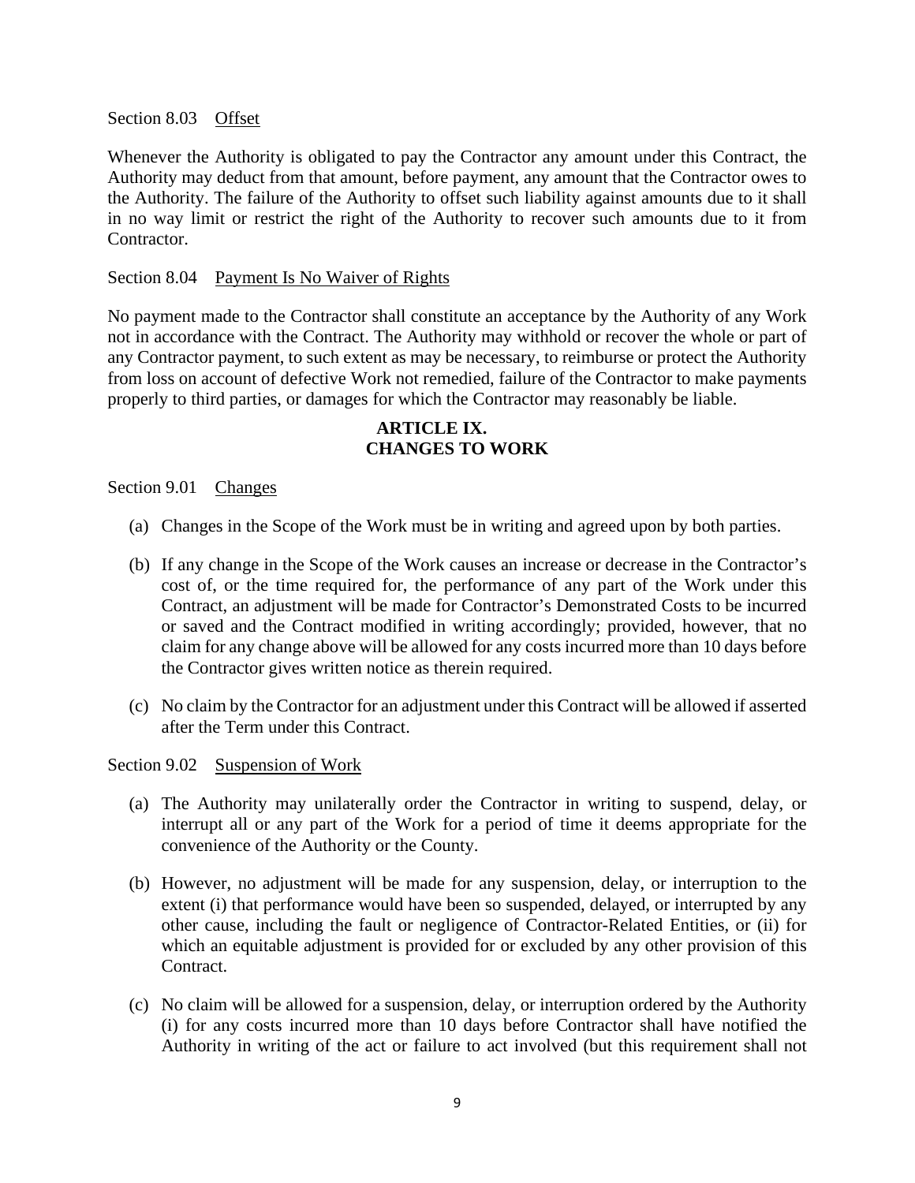Section 8.03 Offset

Whenever the Authority is obligated to pay the Contractor any amount under this Contract, the Authority may deduct from that amount, before payment, any amount that the Contractor owes to the Authority. The failure of the Authority to offset such liability against amounts due to it shall in no way limit or restrict the right of the Authority to recover such amounts due to it from Contractor.

#### Section 8.04 Payment Is No Waiver of Rights

No payment made to the Contractor shall constitute an acceptance by the Authority of any Work not in accordance with the Contract. The Authority may withhold or recover the whole or part of any Contractor payment, to such extent as may be necessary, to reimburse or protect the Authority from loss on account of defective Work not remedied, failure of the Contractor to make payments properly to third parties, or damages for which the Contractor may reasonably be liable.

## **ARTICLE IX. CHANGES TO WORK**

## Section 9.01 Changes

- (a) Changes in the Scope of the Work must be in writing and agreed upon by both parties.
- (b) If any change in the Scope of the Work causes an increase or decrease in the Contractor's cost of, or the time required for, the performance of any part of the Work under this Contract, an adjustment will be made for Contractor's Demonstrated Costs to be incurred or saved and the Contract modified in writing accordingly; provided, however, that no claim for any change above will be allowed for any costs incurred more than 10 days before the Contractor gives written notice as therein required.
- (c) No claim by the Contractor for an adjustment under this Contract will be allowed if asserted after the Term under this Contract.

Section 9.02 Suspension of Work

- (a) The Authority may unilaterally order the Contractor in writing to suspend, delay, or interrupt all or any part of the Work for a period of time it deems appropriate for the convenience of the Authority or the County.
- (b) However, no adjustment will be made for any suspension, delay, or interruption to the extent (i) that performance would have been so suspended, delayed, or interrupted by any other cause, including the fault or negligence of Contractor-Related Entities, or (ii) for which an equitable adjustment is provided for or excluded by any other provision of this Contract.
- (c) No claim will be allowed for a suspension, delay, or interruption ordered by the Authority (i) for any costs incurred more than 10 days before Contractor shall have notified the Authority in writing of the act or failure to act involved (but this requirement shall not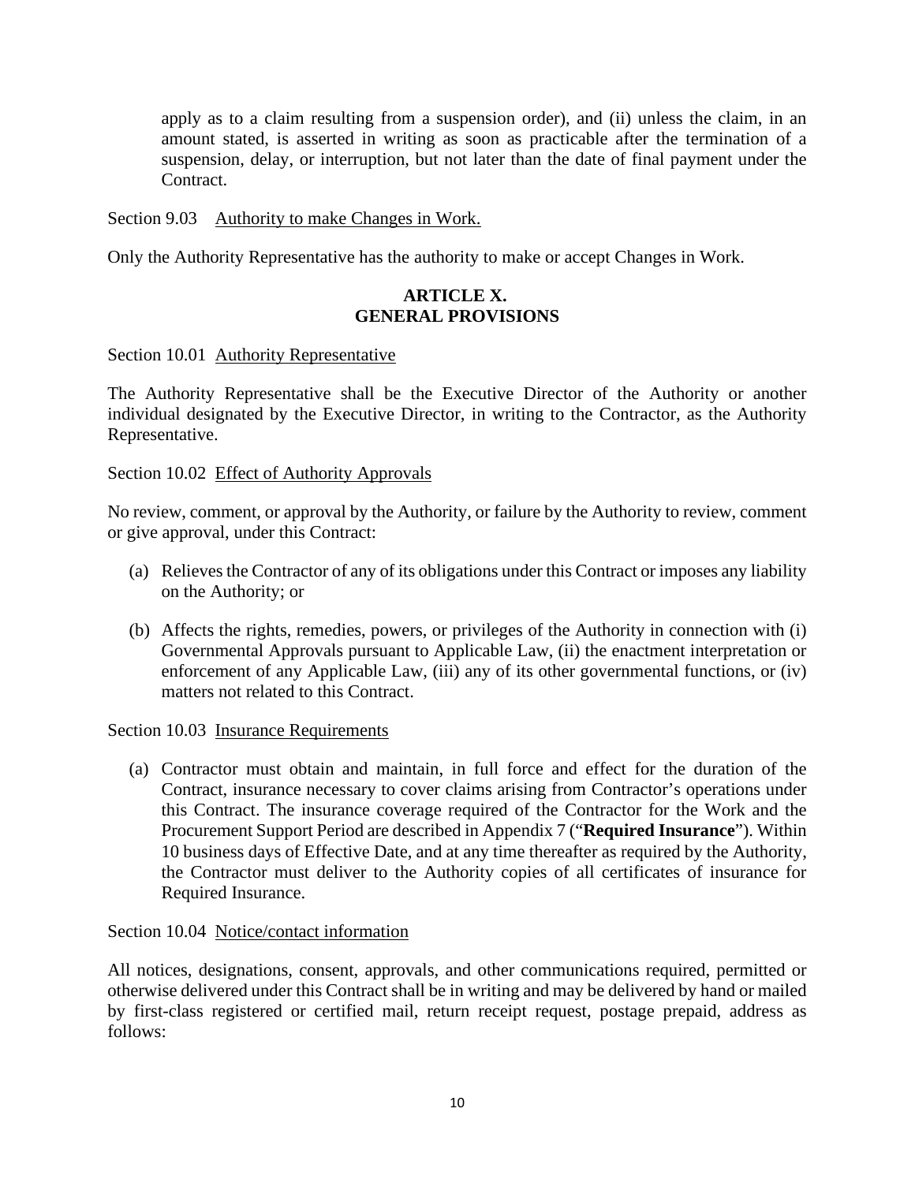apply as to a claim resulting from a suspension order), and (ii) unless the claim, in an amount stated, is asserted in writing as soon as practicable after the termination of a suspension, delay, or interruption, but not later than the date of final payment under the Contract.

### Section 9.03 Authority to make Changes in Work.

Only the Authority Representative has the authority to make or accept Changes in Work.

## **ARTICLE X. GENERAL PROVISIONS**

#### Section 10.01 Authority Representative

The Authority Representative shall be the Executive Director of the Authority or another individual designated by the Executive Director, in writing to the Contractor, as the Authority Representative.

### Section 10.02 Effect of Authority Approvals

No review, comment, or approval by the Authority, or failure by the Authority to review, comment or give approval, under this Contract:

- (a) Relieves the Contractor of any of its obligations under this Contract or imposes any liability on the Authority; or
- (b) Affects the rights, remedies, powers, or privileges of the Authority in connection with (i) Governmental Approvals pursuant to Applicable Law, (ii) the enactment interpretation or enforcement of any Applicable Law, (iii) any of its other governmental functions, or (iv) matters not related to this Contract.

#### Section 10.03 Insurance Requirements

(a) Contractor must obtain and maintain, in full force and effect for the duration of the Contract, insurance necessary to cover claims arising from Contractor's operations under this Contract. The insurance coverage required of the Contractor for the Work and the Procurement Support Period are described in Appendix 7 ("**Required Insurance**"). Within 10 business days of Effective Date, and at any time thereafter as required by the Authority, the Contractor must deliver to the Authority copies of all certificates of insurance for Required Insurance.

#### Section 10.04 Notice/contact information

All notices, designations, consent, approvals, and other communications required, permitted or otherwise delivered under this Contract shall be in writing and may be delivered by hand or mailed by first-class registered or certified mail, return receipt request, postage prepaid, address as follows: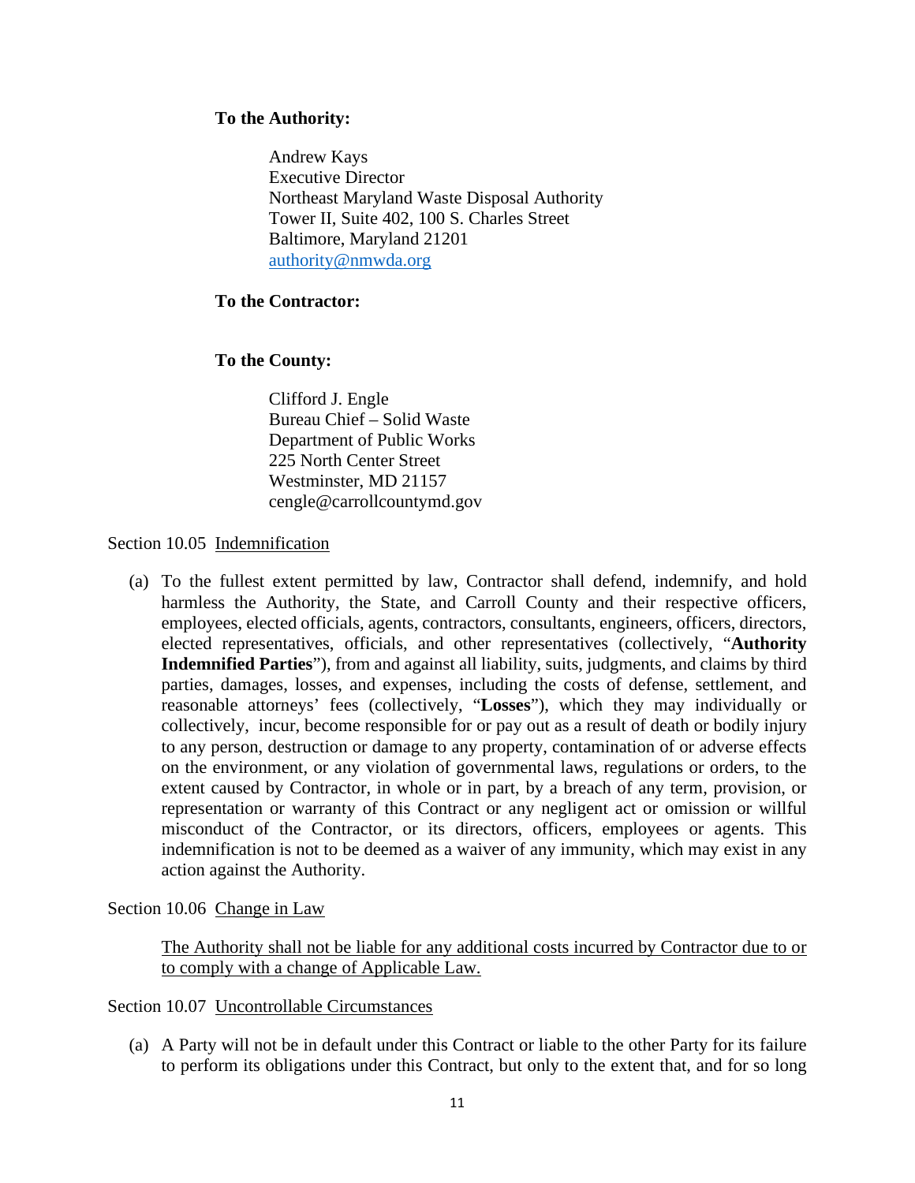## **To the Authority:**

Andrew Kays Executive Director Northeast Maryland Waste Disposal Authority Tower II, Suite 402, 100 S. Charles Street Baltimore, Maryland 21201 [authority@nmwda.org](mailto:authority@nmwda.org)

## **To the Contractor:**

## **To the County:**

Clifford J. Engle Bureau Chief – Solid Waste Department of Public Works 225 North Center Street Westminster, MD 21157 cengle@carrollcountymd.gov

## Section 10.05 Indemnification

(a) To the fullest extent permitted by law, Contractor shall defend, indemnify, and hold harmless the Authority, the State, and Carroll County and their respective officers, employees, elected officials, agents, contractors, consultants, engineers, officers, directors, elected representatives, officials, and other representatives (collectively, "**Authority Indemnified Parties**"), from and against all liability, suits, judgments, and claims by third parties, damages, losses, and expenses, including the costs of defense, settlement, and reasonable attorneys' fees (collectively, "**Losses**"), which they may individually or collectively, incur, become responsible for or pay out as a result of death or bodily injury to any person, destruction or damage to any property, contamination of or adverse effects on the environment, or any violation of governmental laws, regulations or orders, to the extent caused by Contractor, in whole or in part, by a breach of any term, provision, or representation or warranty of this Contract or any negligent act or omission or willful misconduct of the Contractor, or its directors, officers, employees or agents. This indemnification is not to be deemed as a waiver of any immunity, which may exist in any action against the Authority.

Section 10.06 Change in Law

The Authority shall not be liable for any additional costs incurred by Contractor due to or to comply with a change of Applicable Law.

Section 10.07 Uncontrollable Circumstances

(a) A Party will not be in default under this Contract or liable to the other Party for its failure to perform its obligations under this Contract, but only to the extent that, and for so long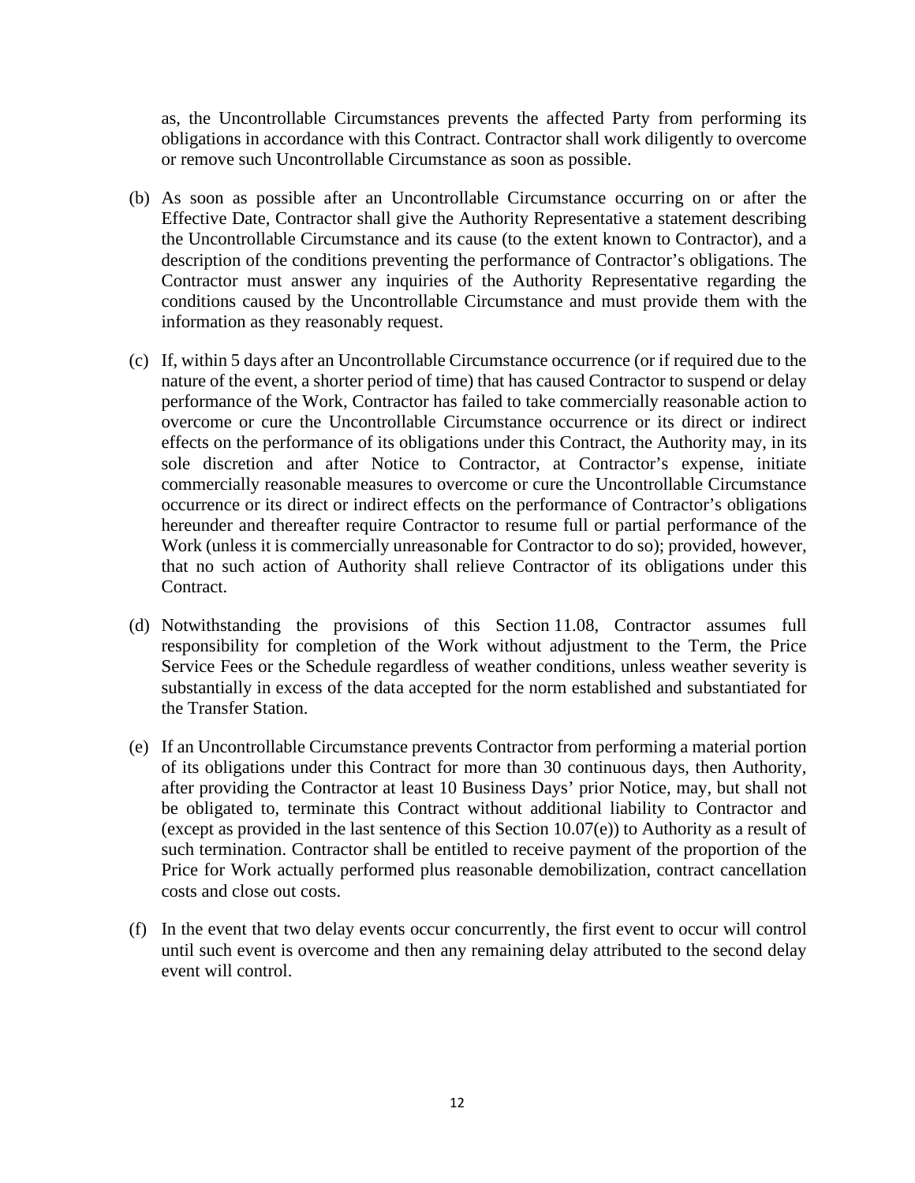as, the Uncontrollable Circumstances prevents the affected Party from performing its obligations in accordance with this Contract. Contractor shall work diligently to overcome or remove such Uncontrollable Circumstance as soon as possible.

- (b) As soon as possible after an Uncontrollable Circumstance occurring on or after the Effective Date, Contractor shall give the Authority Representative a statement describing the Uncontrollable Circumstance and its cause (to the extent known to Contractor), and a description of the conditions preventing the performance of Contractor's obligations. The Contractor must answer any inquiries of the Authority Representative regarding the conditions caused by the Uncontrollable Circumstance and must provide them with the information as they reasonably request.
- (c) If, within 5 days after an Uncontrollable Circumstance occurrence (or if required due to the nature of the event, a shorter period of time) that has caused Contractor to suspend or delay performance of the Work, Contractor has failed to take commercially reasonable action to overcome or cure the Uncontrollable Circumstance occurrence or its direct or indirect effects on the performance of its obligations under this Contract, the Authority may, in its sole discretion and after Notice to Contractor, at Contractor's expense, initiate commercially reasonable measures to overcome or cure the Uncontrollable Circumstance occurrence or its direct or indirect effects on the performance of Contractor's obligations hereunder and thereafter require Contractor to resume full or partial performance of the Work (unless it is commercially unreasonable for Contractor to do so); provided, however, that no such action of Authority shall relieve Contractor of its obligations under this Contract.
- (d) Notwithstanding the provisions of this Section 11.08, Contractor assumes full responsibility for completion of the Work without adjustment to the Term, the Price Service Fees or the Schedule regardless of weather conditions, unless weather severity is substantially in excess of the data accepted for the norm established and substantiated for the Transfer Station.
- (e) If an Uncontrollable Circumstance prevents Contractor from performing a material portion of its obligations under this Contract for more than 30 continuous days, then Authority, after providing the Contractor at least 10 Business Days' prior Notice, may, but shall not be obligated to, terminate this Contract without additional liability to Contractor and (except as provided in the last sentence of this Section 10.07(e)) to Authority as a result of such termination. Contractor shall be entitled to receive payment of the proportion of the Price for Work actually performed plus reasonable demobilization, contract cancellation costs and close out costs.
- (f) In the event that two delay events occur concurrently, the first event to occur will control until such event is overcome and then any remaining delay attributed to the second delay event will control.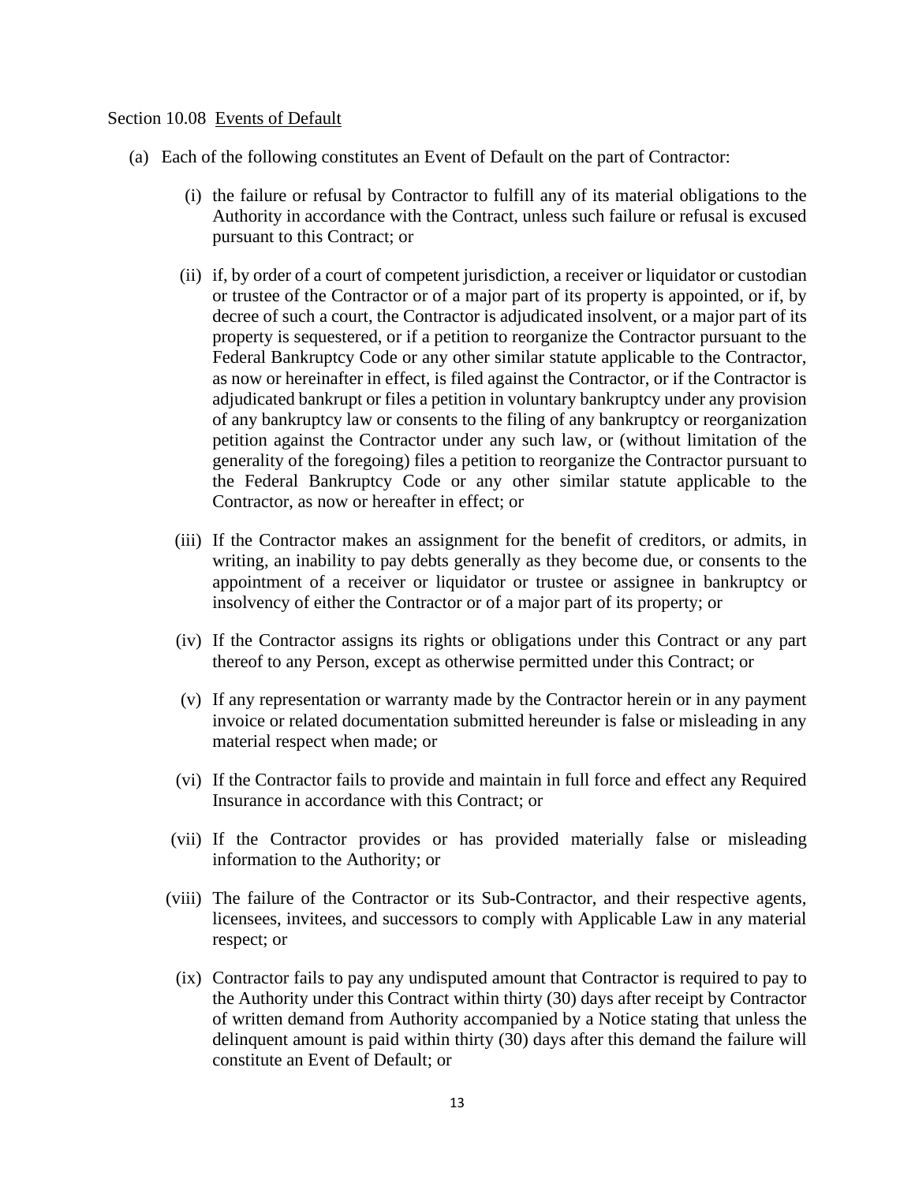#### Section 10.08 Events of Default

- (a) Each of the following constitutes an Event of Default on the part of Contractor:
	- (i) the failure or refusal by Contractor to fulfill any of its material obligations to the Authority in accordance with the Contract, unless such failure or refusal is excused pursuant to this Contract; or
	- (ii) if, by order of a court of competent jurisdiction, a receiver or liquidator or custodian or trustee of the Contractor or of a major part of its property is appointed, or if, by decree of such a court, the Contractor is adjudicated insolvent, or a major part of its property is sequestered, or if a petition to reorganize the Contractor pursuant to the Federal Bankruptcy Code or any other similar statute applicable to the Contractor, as now or hereinafter in effect, is filed against the Contractor, or if the Contractor is adjudicated bankrupt or files a petition in voluntary bankruptcy under any provision of any bankruptcy law or consents to the filing of any bankruptcy or reorganization petition against the Contractor under any such law, or (without limitation of the generality of the foregoing) files a petition to reorganize the Contractor pursuant to the Federal Bankruptcy Code or any other similar statute applicable to the Contractor, as now or hereafter in effect; or
	- (iii) If the Contractor makes an assignment for the benefit of creditors, or admits, in writing, an inability to pay debts generally as they become due, or consents to the appointment of a receiver or liquidator or trustee or assignee in bankruptcy or insolvency of either the Contractor or of a major part of its property; or
	- (iv) If the Contractor assigns its rights or obligations under this Contract or any part thereof to any Person, except as otherwise permitted under this Contract; or
	- (v) If any representation or warranty made by the Contractor herein or in any payment invoice or related documentation submitted hereunder is false or misleading in any material respect when made; or
	- (vi) If the Contractor fails to provide and maintain in full force and effect any Required Insurance in accordance with this Contract; or
	- (vii) If the Contractor provides or has provided materially false or misleading information to the Authority; or
	- (viii) The failure of the Contractor or its Sub-Contractor, and their respective agents, licensees, invitees, and successors to comply with Applicable Law in any material respect; or
		- (ix) Contractor fails to pay any undisputed amount that Contractor is required to pay to the Authority under this Contract within thirty (30) days after receipt by Contractor of written demand from Authority accompanied by a Notice stating that unless the delinquent amount is paid within thirty (30) days after this demand the failure will constitute an Event of Default; or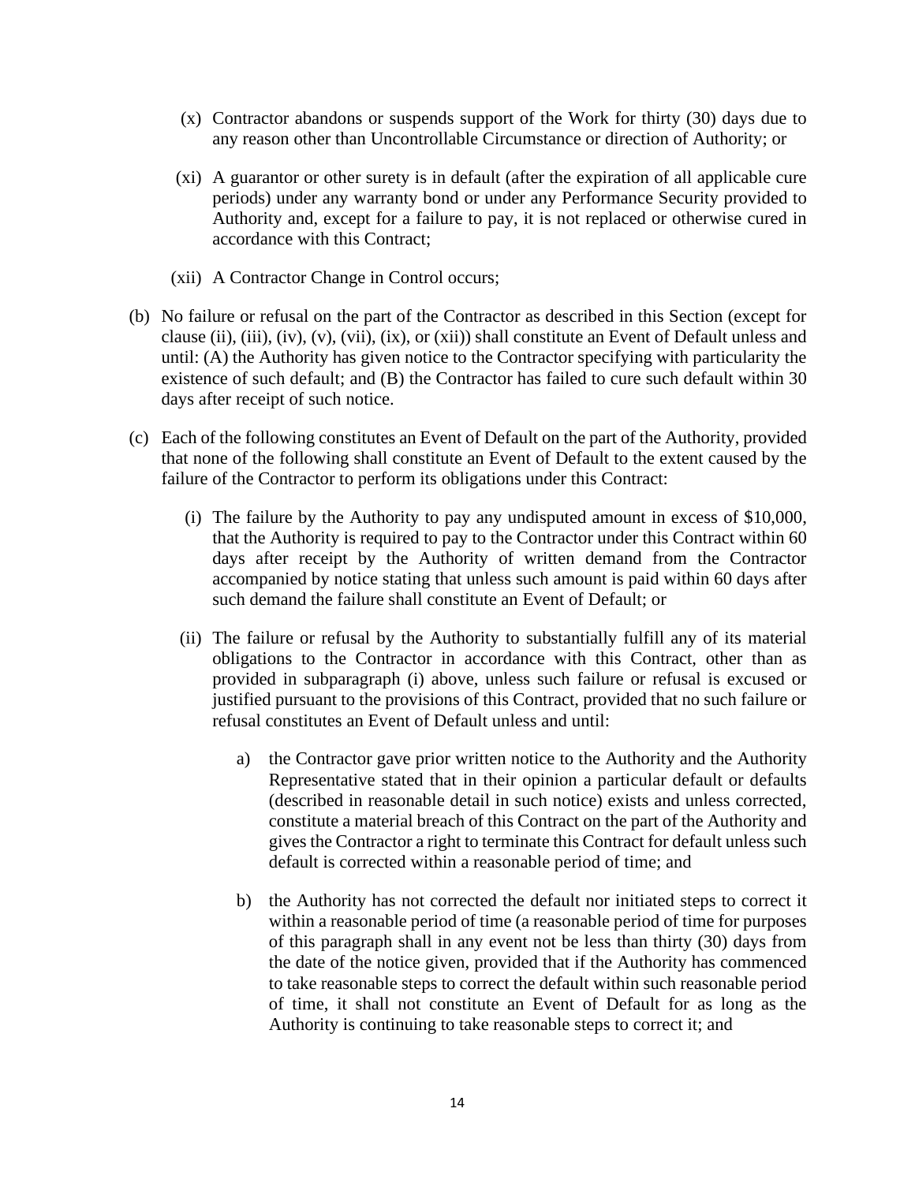- (x) Contractor abandons or suspends support of the Work for thirty (30) days due to any reason other than Uncontrollable Circumstance or direction of Authority; or
- (xi) A guarantor or other surety is in default (after the expiration of all applicable cure periods) under any warranty bond or under any Performance Security provided to Authority and, except for a failure to pay, it is not replaced or otherwise cured in accordance with this Contract;
- (xii) A Contractor Change in Control occurs;
- (b) No failure or refusal on the part of the Contractor as described in this Section (except for clause (ii), (iii), (iv), (v), (vii), (ix), or (xii)) shall constitute an Event of Default unless and until: (A) the Authority has given notice to the Contractor specifying with particularity the existence of such default; and (B) the Contractor has failed to cure such default within 30 days after receipt of such notice.
- (c) Each of the following constitutes an Event of Default on the part of the Authority, provided that none of the following shall constitute an Event of Default to the extent caused by the failure of the Contractor to perform its obligations under this Contract:
	- (i) The failure by the Authority to pay any undisputed amount in excess of \$10,000, that the Authority is required to pay to the Contractor under this Contract within 60 days after receipt by the Authority of written demand from the Contractor accompanied by notice stating that unless such amount is paid within 60 days after such demand the failure shall constitute an Event of Default; or
	- (ii) The failure or refusal by the Authority to substantially fulfill any of its material obligations to the Contractor in accordance with this Contract, other than as provided in subparagraph (i) above, unless such failure or refusal is excused or justified pursuant to the provisions of this Contract, provided that no such failure or refusal constitutes an Event of Default unless and until:
		- a) the Contractor gave prior written notice to the Authority and the Authority Representative stated that in their opinion a particular default or defaults (described in reasonable detail in such notice) exists and unless corrected, constitute a material breach of this Contract on the part of the Authority and gives the Contractor a right to terminate this Contract for default unless such default is corrected within a reasonable period of time; and
		- b) the Authority has not corrected the default nor initiated steps to correct it within a reasonable period of time (a reasonable period of time for purposes of this paragraph shall in any event not be less than thirty (30) days from the date of the notice given, provided that if the Authority has commenced to take reasonable steps to correct the default within such reasonable period of time, it shall not constitute an Event of Default for as long as the Authority is continuing to take reasonable steps to correct it; and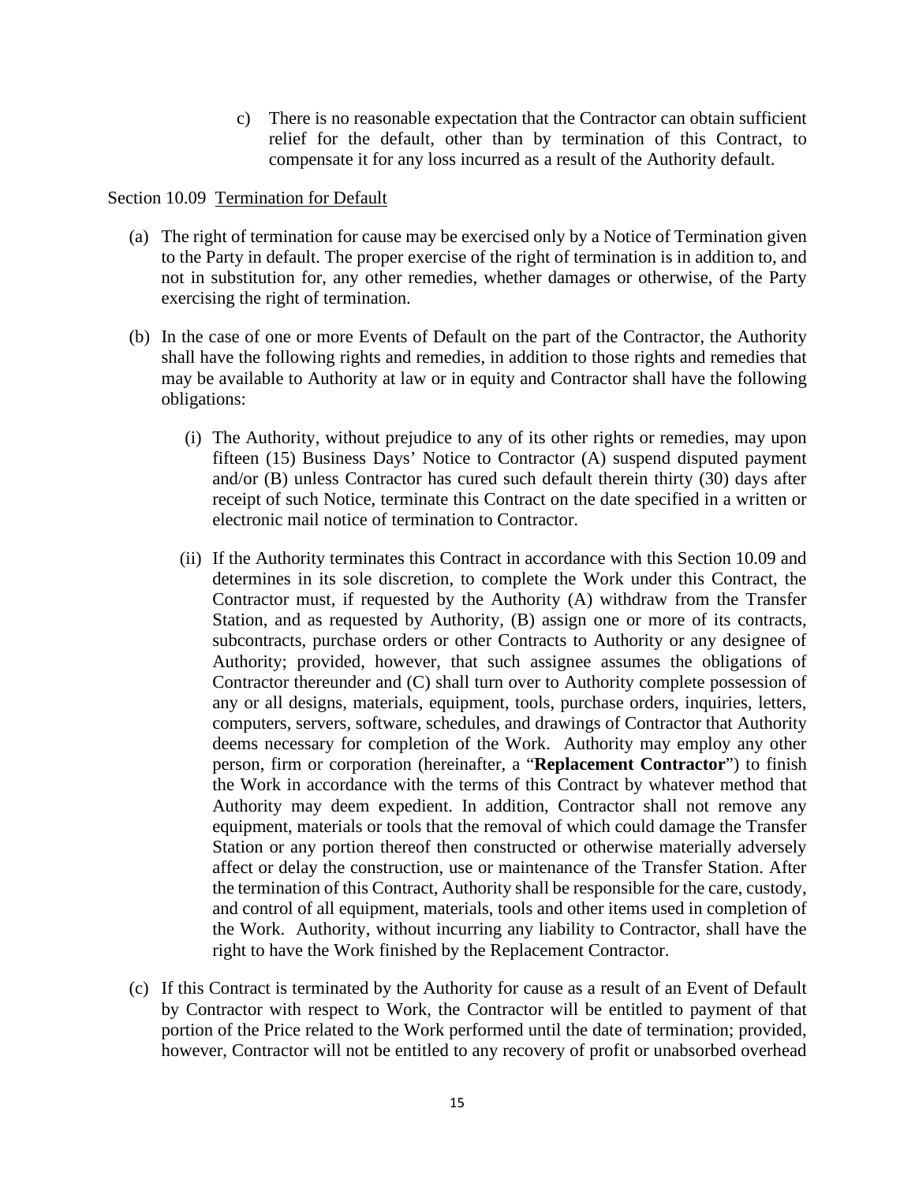c) There is no reasonable expectation that the Contractor can obtain sufficient relief for the default, other than by termination of this Contract, to compensate it for any loss incurred as a result of the Authority default.

### Section 10.09 Termination for Default

- (a) The right of termination for cause may be exercised only by a Notice of Termination given to the Party in default. The proper exercise of the right of termination is in addition to, and not in substitution for, any other remedies, whether damages or otherwise, of the Party exercising the right of termination.
- (b) In the case of one or more Events of Default on the part of the Contractor, the Authority shall have the following rights and remedies, in addition to those rights and remedies that may be available to Authority at law or in equity and Contractor shall have the following obligations:
	- (i) The Authority, without prejudice to any of its other rights or remedies, may upon fifteen (15) Business Days' Notice to Contractor (A) suspend disputed payment and/or (B) unless Contractor has cured such default therein thirty (30) days after receipt of such Notice, terminate this Contract on the date specified in a written or electronic mail notice of termination to Contractor.
	- (ii) If the Authority terminates this Contract in accordance with this Section 10.09 and determines in its sole discretion, to complete the Work under this Contract, the Contractor must, if requested by the Authority (A) withdraw from the Transfer Station, and as requested by Authority, (B) assign one or more of its contracts, subcontracts, purchase orders or other Contracts to Authority or any designee of Authority; provided, however, that such assignee assumes the obligations of Contractor thereunder and (C) shall turn over to Authority complete possession of any or all designs, materials, equipment, tools, purchase orders, inquiries, letters, computers, servers, software, schedules, and drawings of Contractor that Authority deems necessary for completion of the Work. Authority may employ any other person, firm or corporation (hereinafter, a "**Replacement Contractor**") to finish the Work in accordance with the terms of this Contract by whatever method that Authority may deem expedient. In addition, Contractor shall not remove any equipment, materials or tools that the removal of which could damage the Transfer Station or any portion thereof then constructed or otherwise materially adversely affect or delay the construction, use or maintenance of the Transfer Station. After the termination of this Contract, Authority shall be responsible for the care, custody, and control of all equipment, materials, tools and other items used in completion of the Work. Authority, without incurring any liability to Contractor, shall have the right to have the Work finished by the Replacement Contractor.
- (c) If this Contract is terminated by the Authority for cause as a result of an Event of Default by Contractor with respect to Work, the Contractor will be entitled to payment of that portion of the Price related to the Work performed until the date of termination; provided, however, Contractor will not be entitled to any recovery of profit or unabsorbed overhead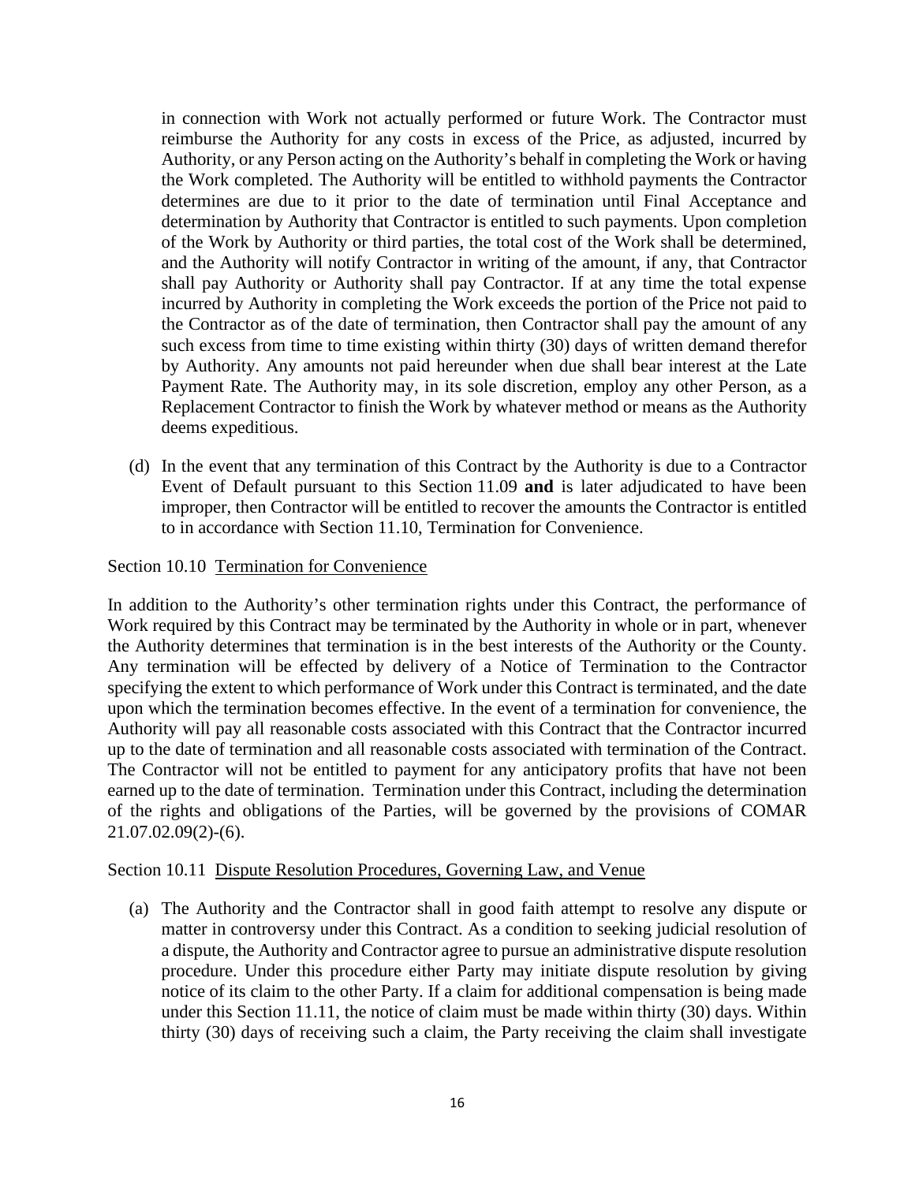in connection with Work not actually performed or future Work. The Contractor must reimburse the Authority for any costs in excess of the Price, as adjusted, incurred by Authority, or any Person acting on the Authority's behalf in completing the Work or having the Work completed. The Authority will be entitled to withhold payments the Contractor determines are due to it prior to the date of termination until Final Acceptance and determination by Authority that Contractor is entitled to such payments. Upon completion of the Work by Authority or third parties, the total cost of the Work shall be determined, and the Authority will notify Contractor in writing of the amount, if any, that Contractor shall pay Authority or Authority shall pay Contractor. If at any time the total expense incurred by Authority in completing the Work exceeds the portion of the Price not paid to the Contractor as of the date of termination, then Contractor shall pay the amount of any such excess from time to time existing within thirty (30) days of written demand therefor by Authority. Any amounts not paid hereunder when due shall bear interest at the Late Payment Rate. The Authority may, in its sole discretion, employ any other Person, as a Replacement Contractor to finish the Work by whatever method or means as the Authority deems expeditious.

(d) In the event that any termination of this Contract by the Authority is due to a Contractor Event of Default pursuant to this Section 11.09 **and** is later adjudicated to have been improper, then Contractor will be entitled to recover the amounts the Contractor is entitled to in accordance with Section 11.10, Termination for Convenience.

### Section 10.10 Termination for Convenience

In addition to the Authority's other termination rights under this Contract, the performance of Work required by this Contract may be terminated by the Authority in whole or in part, whenever the Authority determines that termination is in the best interests of the Authority or the County. Any termination will be effected by delivery of a Notice of Termination to the Contractor specifying the extent to which performance of Work under this Contract is terminated, and the date upon which the termination becomes effective. In the event of a termination for convenience, the Authority will pay all reasonable costs associated with this Contract that the Contractor incurred up to the date of termination and all reasonable costs associated with termination of the Contract. The Contractor will not be entitled to payment for any anticipatory profits that have not been earned up to the date of termination. Termination under this Contract, including the determination of the rights and obligations of the Parties, will be governed by the provisions of COMAR 21.07.02.09(2)-(6).

#### Section 10.11 Dispute Resolution Procedures, Governing Law, and Venue

(a) The Authority and the Contractor shall in good faith attempt to resolve any dispute or matter in controversy under this Contract. As a condition to seeking judicial resolution of a dispute, the Authority and Contractor agree to pursue an administrative dispute resolution procedure. Under this procedure either Party may initiate dispute resolution by giving notice of its claim to the other Party. If a claim for additional compensation is being made under this Section 11.11, the notice of claim must be made within thirty (30) days. Within thirty (30) days of receiving such a claim, the Party receiving the claim shall investigate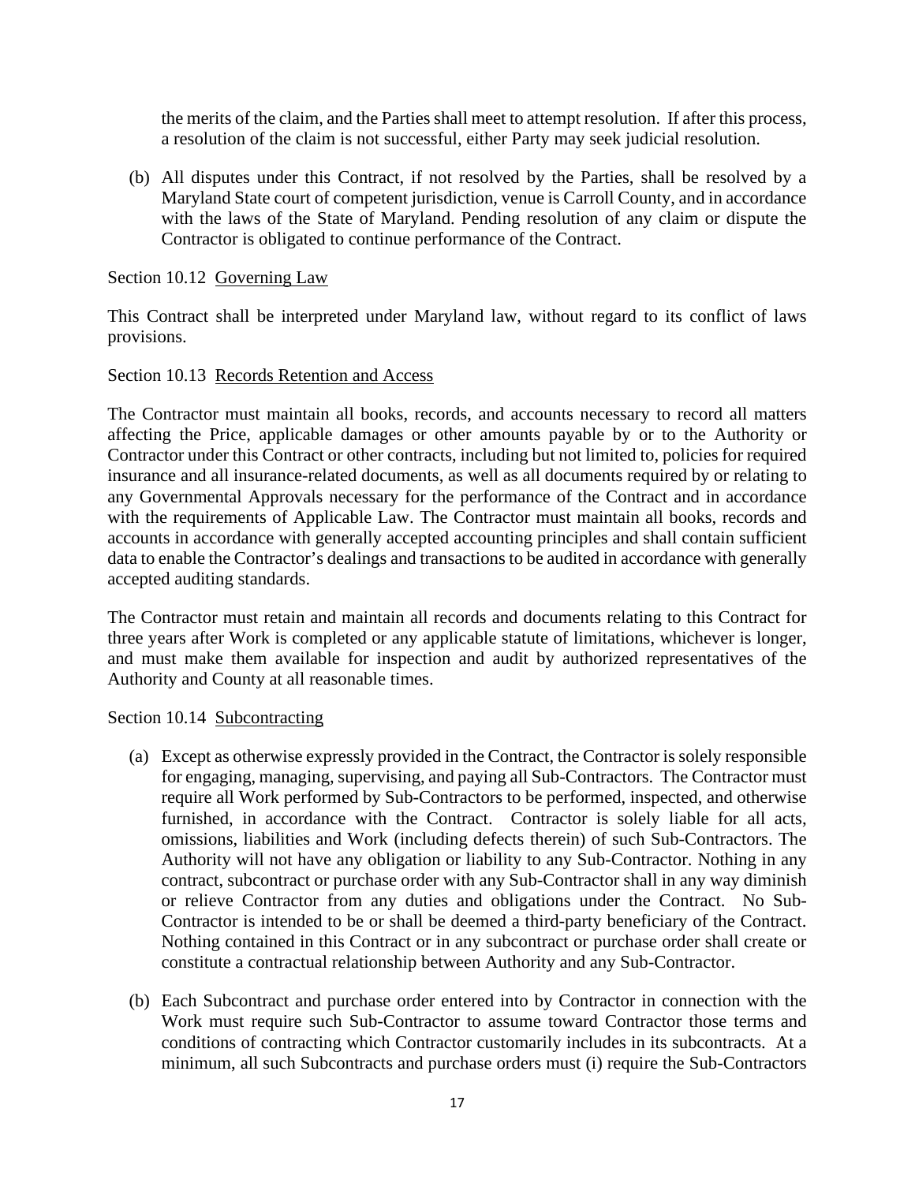the merits of the claim, and the Parties shall meet to attempt resolution. If after this process, a resolution of the claim is not successful, either Party may seek judicial resolution.

(b) All disputes under this Contract, if not resolved by the Parties, shall be resolved by a Maryland State court of competent jurisdiction, venue is Carroll County, and in accordance with the laws of the State of Maryland. Pending resolution of any claim or dispute the Contractor is obligated to continue performance of the Contract.

Section 10.12 Governing Law

This Contract shall be interpreted under Maryland law, without regard to its conflict of laws provisions.

## Section 10.13 Records Retention and Access

The Contractor must maintain all books, records, and accounts necessary to record all matters affecting the Price, applicable damages or other amounts payable by or to the Authority or Contractor under this Contract or other contracts, including but not limited to, policies for required insurance and all insurance-related documents, as well as all documents required by or relating to any Governmental Approvals necessary for the performance of the Contract and in accordance with the requirements of Applicable Law. The Contractor must maintain all books, records and accounts in accordance with generally accepted accounting principles and shall contain sufficient data to enable the Contractor's dealings and transactions to be audited in accordance with generally accepted auditing standards.

The Contractor must retain and maintain all records and documents relating to this Contract for three years after Work is completed or any applicable statute of limitations, whichever is longer, and must make them available for inspection and audit by authorized representatives of the Authority and County at all reasonable times.

Section 10.14 Subcontracting

- (a) Except as otherwise expressly provided in the Contract, the Contractor is solely responsible for engaging, managing, supervising, and paying all Sub-Contractors. The Contractor must require all Work performed by Sub-Contractors to be performed, inspected, and otherwise furnished, in accordance with the Contract. Contractor is solely liable for all acts, omissions, liabilities and Work (including defects therein) of such Sub-Contractors. The Authority will not have any obligation or liability to any Sub-Contractor. Nothing in any contract, subcontract or purchase order with any Sub-Contractor shall in any way diminish or relieve Contractor from any duties and obligations under the Contract. No Sub-Contractor is intended to be or shall be deemed a third-party beneficiary of the Contract. Nothing contained in this Contract or in any subcontract or purchase order shall create or constitute a contractual relationship between Authority and any Sub-Contractor.
- (b) Each Subcontract and purchase order entered into by Contractor in connection with the Work must require such Sub-Contractor to assume toward Contractor those terms and conditions of contracting which Contractor customarily includes in its subcontracts. At a minimum, all such Subcontracts and purchase orders must (i) require the Sub-Contractors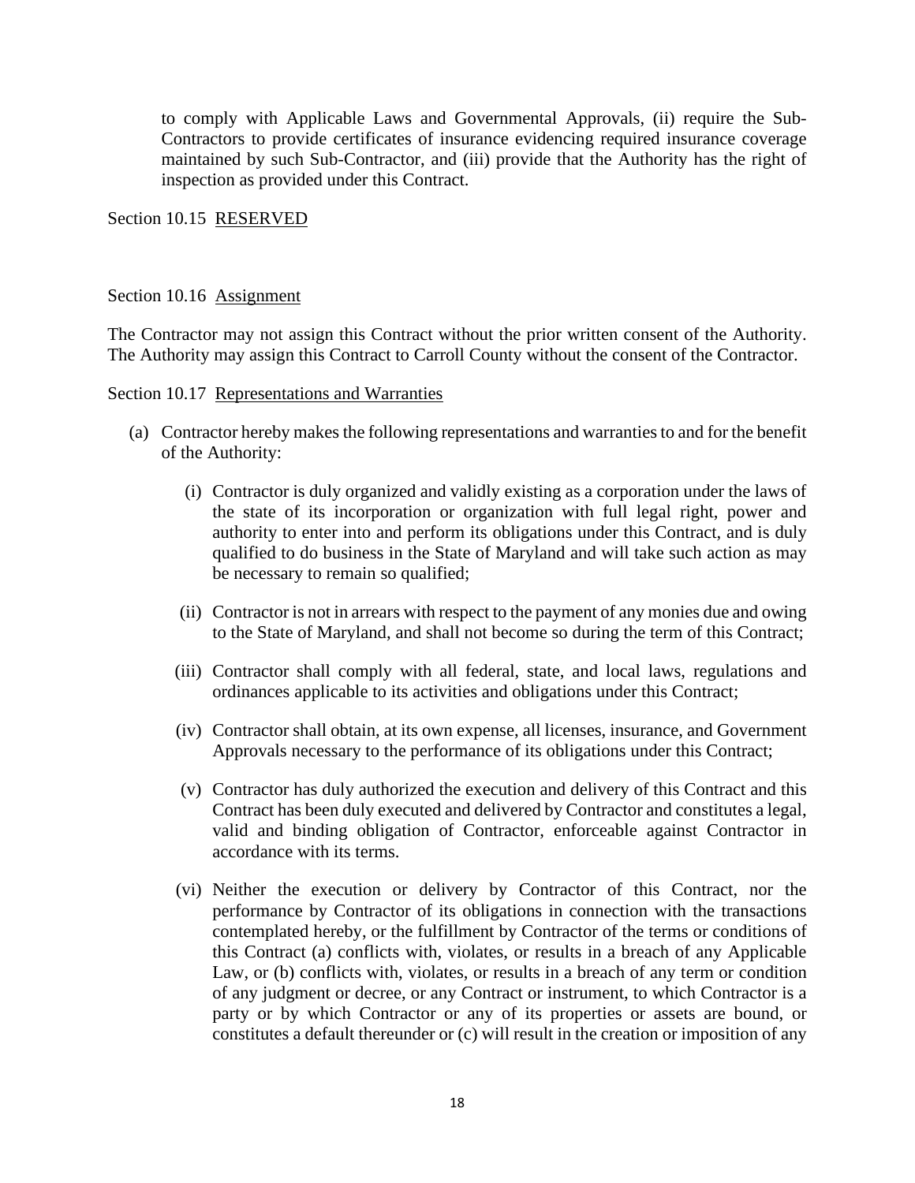to comply with Applicable Laws and Governmental Approvals, (ii) require the Sub-Contractors to provide certificates of insurance evidencing required insurance coverage maintained by such Sub-Contractor, and (iii) provide that the Authority has the right of inspection as provided under this Contract.

Section 10.15 RESERVED

### Section 10.16 Assignment

The Contractor may not assign this Contract without the prior written consent of the Authority. The Authority may assign this Contract to Carroll County without the consent of the Contractor.

Section 10.17 Representations and Warranties

- (a) Contractor hereby makes the following representations and warranties to and for the benefit of the Authority:
	- (i) Contractor is duly organized and validly existing as a corporation under the laws of the state of its incorporation or organization with full legal right, power and authority to enter into and perform its obligations under this Contract, and is duly qualified to do business in the State of Maryland and will take such action as may be necessary to remain so qualified;
	- (ii) Contractor is not in arrears with respect to the payment of any monies due and owing to the State of Maryland, and shall not become so during the term of this Contract;
	- (iii) Contractor shall comply with all federal, state, and local laws, regulations and ordinances applicable to its activities and obligations under this Contract;
	- (iv) Contractor shall obtain, at its own expense, all licenses, insurance, and Government Approvals necessary to the performance of its obligations under this Contract;
	- (v) Contractor has duly authorized the execution and delivery of this Contract and this Contract has been duly executed and delivered by Contractor and constitutes a legal, valid and binding obligation of Contractor, enforceable against Contractor in accordance with its terms.
	- (vi) Neither the execution or delivery by Contractor of this Contract, nor the performance by Contractor of its obligations in connection with the transactions contemplated hereby, or the fulfillment by Contractor of the terms or conditions of this Contract (a) conflicts with, violates, or results in a breach of any Applicable Law, or (b) conflicts with, violates, or results in a breach of any term or condition of any judgment or decree, or any Contract or instrument, to which Contractor is a party or by which Contractor or any of its properties or assets are bound, or constitutes a default thereunder or (c) will result in the creation or imposition of any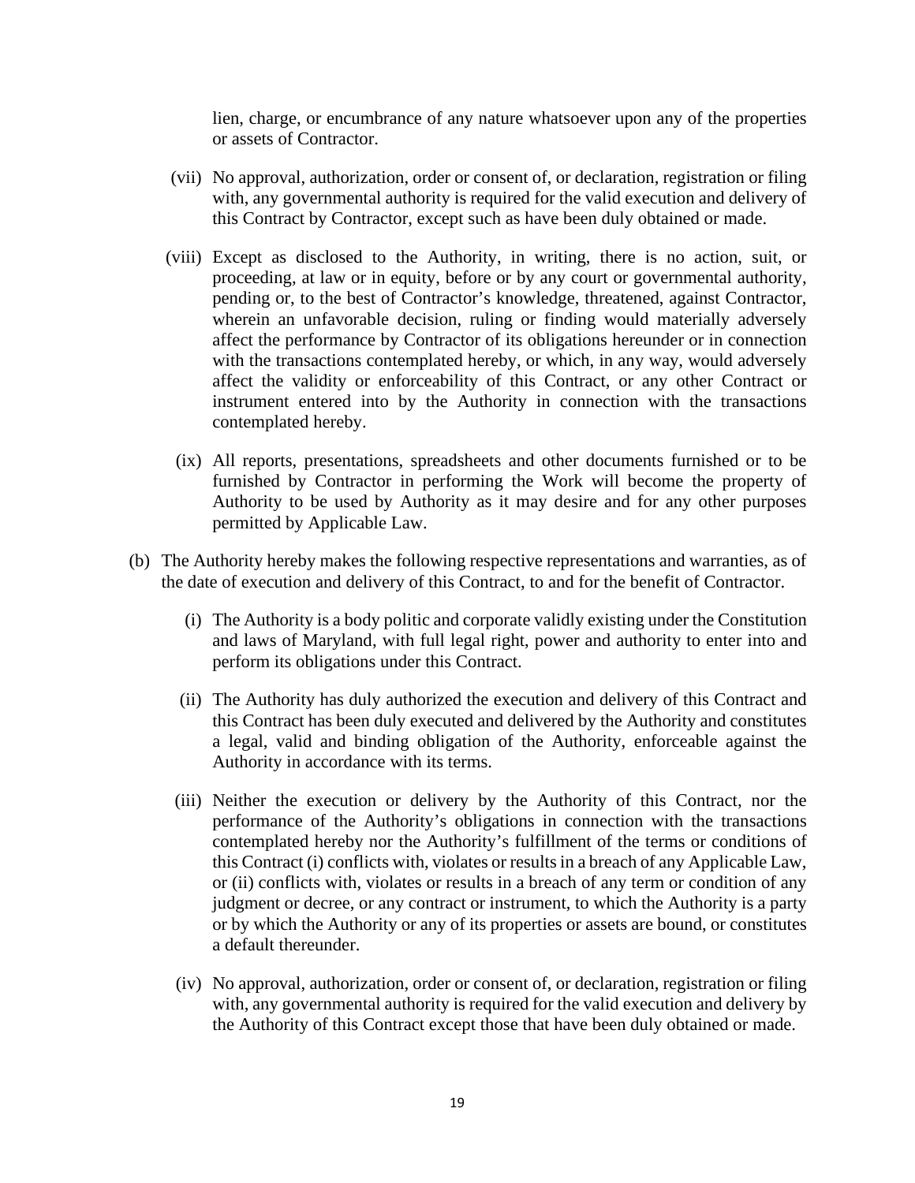lien, charge, or encumbrance of any nature whatsoever upon any of the properties or assets of Contractor.

- (vii) No approval, authorization, order or consent of, or declaration, registration or filing with, any governmental authority is required for the valid execution and delivery of this Contract by Contractor, except such as have been duly obtained or made.
- (viii) Except as disclosed to the Authority, in writing, there is no action, suit, or proceeding, at law or in equity, before or by any court or governmental authority, pending or, to the best of Contractor's knowledge, threatened, against Contractor, wherein an unfavorable decision, ruling or finding would materially adversely affect the performance by Contractor of its obligations hereunder or in connection with the transactions contemplated hereby, or which, in any way, would adversely affect the validity or enforceability of this Contract, or any other Contract or instrument entered into by the Authority in connection with the transactions contemplated hereby.
	- (ix) All reports, presentations, spreadsheets and other documents furnished or to be furnished by Contractor in performing the Work will become the property of Authority to be used by Authority as it may desire and for any other purposes permitted by Applicable Law.
- (b) The Authority hereby makes the following respective representations and warranties, as of the date of execution and delivery of this Contract, to and for the benefit of Contractor.
	- (i) The Authority is a body politic and corporate validly existing under the Constitution and laws of Maryland, with full legal right, power and authority to enter into and perform its obligations under this Contract.
	- (ii) The Authority has duly authorized the execution and delivery of this Contract and this Contract has been duly executed and delivered by the Authority and constitutes a legal, valid and binding obligation of the Authority, enforceable against the Authority in accordance with its terms.
	- (iii) Neither the execution or delivery by the Authority of this Contract, nor the performance of the Authority's obligations in connection with the transactions contemplated hereby nor the Authority's fulfillment of the terms or conditions of this Contract (i) conflicts with, violates or results in a breach of any Applicable Law, or (ii) conflicts with, violates or results in a breach of any term or condition of any judgment or decree, or any contract or instrument, to which the Authority is a party or by which the Authority or any of its properties or assets are bound, or constitutes a default thereunder.
	- (iv) No approval, authorization, order or consent of, or declaration, registration or filing with, any governmental authority is required for the valid execution and delivery by the Authority of this Contract except those that have been duly obtained or made.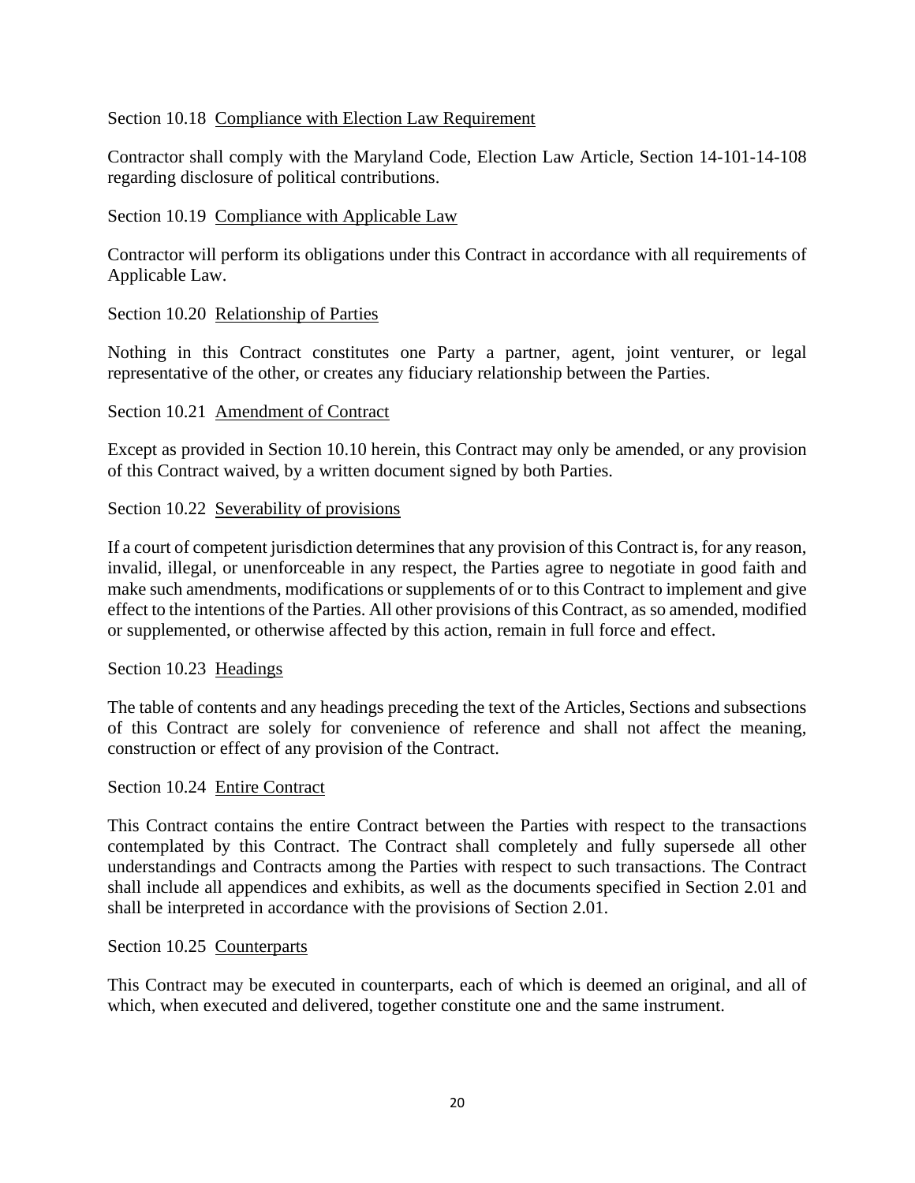## Section 10.18 Compliance with Election Law Requirement

Contractor shall comply with the Maryland Code, Election Law Article, Section 14-101-14-108 regarding disclosure of political contributions.

## Section 10.19 Compliance with Applicable Law

Contractor will perform its obligations under this Contract in accordance with all requirements of Applicable Law.

## Section 10.20 Relationship of Parties

Nothing in this Contract constitutes one Party a partner, agent, joint venturer, or legal representative of the other, or creates any fiduciary relationship between the Parties.

### Section 10.21 Amendment of Contract

Except as provided in Section 10.10 herein, this Contract may only be amended, or any provision of this Contract waived, by a written document signed by both Parties.

### Section 10.22 Severability of provisions

If a court of competent jurisdiction determines that any provision of this Contract is, for any reason, invalid, illegal, or unenforceable in any respect, the Parties agree to negotiate in good faith and make such amendments, modifications or supplements of or to this Contract to implement and give effect to the intentions of the Parties. All other provisions of this Contract, as so amended, modified or supplemented, or otherwise affected by this action, remain in full force and effect.

#### Section 10.23 Headings

The table of contents and any headings preceding the text of the Articles, Sections and subsections of this Contract are solely for convenience of reference and shall not affect the meaning, construction or effect of any provision of the Contract.

#### Section 10.24 Entire Contract

This Contract contains the entire Contract between the Parties with respect to the transactions contemplated by this Contract. The Contract shall completely and fully supersede all other understandings and Contracts among the Parties with respect to such transactions. The Contract shall include all appendices and exhibits, as well as the documents specified in Section 2.01 and shall be interpreted in accordance with the provisions of Section 2.01.

## Section 10.25 Counterparts

This Contract may be executed in counterparts, each of which is deemed an original, and all of which, when executed and delivered, together constitute one and the same instrument.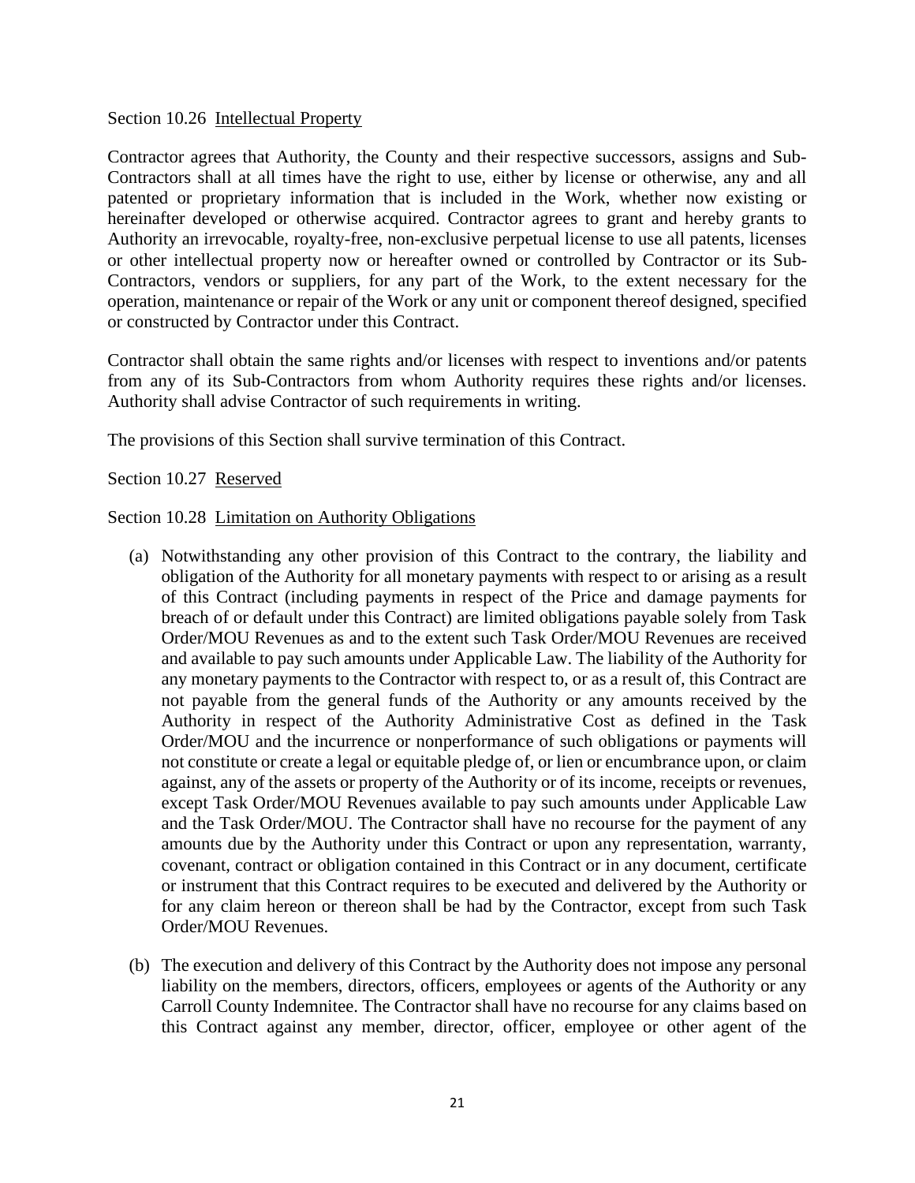### Section 10.26 Intellectual Property

Contractor agrees that Authority, the County and their respective successors, assigns and Sub-Contractors shall at all times have the right to use, either by license or otherwise, any and all patented or proprietary information that is included in the Work, whether now existing or hereinafter developed or otherwise acquired. Contractor agrees to grant and hereby grants to Authority an irrevocable, royalty-free, non-exclusive perpetual license to use all patents, licenses or other intellectual property now or hereafter owned or controlled by Contractor or its Sub-Contractors, vendors or suppliers, for any part of the Work, to the extent necessary for the operation, maintenance or repair of the Work or any unit or component thereof designed, specified or constructed by Contractor under this Contract.

Contractor shall obtain the same rights and/or licenses with respect to inventions and/or patents from any of its Sub-Contractors from whom Authority requires these rights and/or licenses. Authority shall advise Contractor of such requirements in writing.

The provisions of this Section shall survive termination of this Contract.

Section 10.27 Reserved

Section 10.28 Limitation on Authority Obligations

- (a) Notwithstanding any other provision of this Contract to the contrary, the liability and obligation of the Authority for all monetary payments with respect to or arising as a result of this Contract (including payments in respect of the Price and damage payments for breach of or default under this Contract) are limited obligations payable solely from Task Order/MOU Revenues as and to the extent such Task Order/MOU Revenues are received and available to pay such amounts under Applicable Law. The liability of the Authority for any monetary payments to the Contractor with respect to, or as a result of, this Contract are not payable from the general funds of the Authority or any amounts received by the Authority in respect of the Authority Administrative Cost as defined in the Task Order/MOU and the incurrence or nonperformance of such obligations or payments will not constitute or create a legal or equitable pledge of, or lien or encumbrance upon, or claim against, any of the assets or property of the Authority or of its income, receipts or revenues, except Task Order/MOU Revenues available to pay such amounts under Applicable Law and the Task Order/MOU. The Contractor shall have no recourse for the payment of any amounts due by the Authority under this Contract or upon any representation, warranty, covenant, contract or obligation contained in this Contract or in any document, certificate or instrument that this Contract requires to be executed and delivered by the Authority or for any claim hereon or thereon shall be had by the Contractor, except from such Task Order/MOU Revenues.
- (b) The execution and delivery of this Contract by the Authority does not impose any personal liability on the members, directors, officers, employees or agents of the Authority or any Carroll County Indemnitee. The Contractor shall have no recourse for any claims based on this Contract against any member, director, officer, employee or other agent of the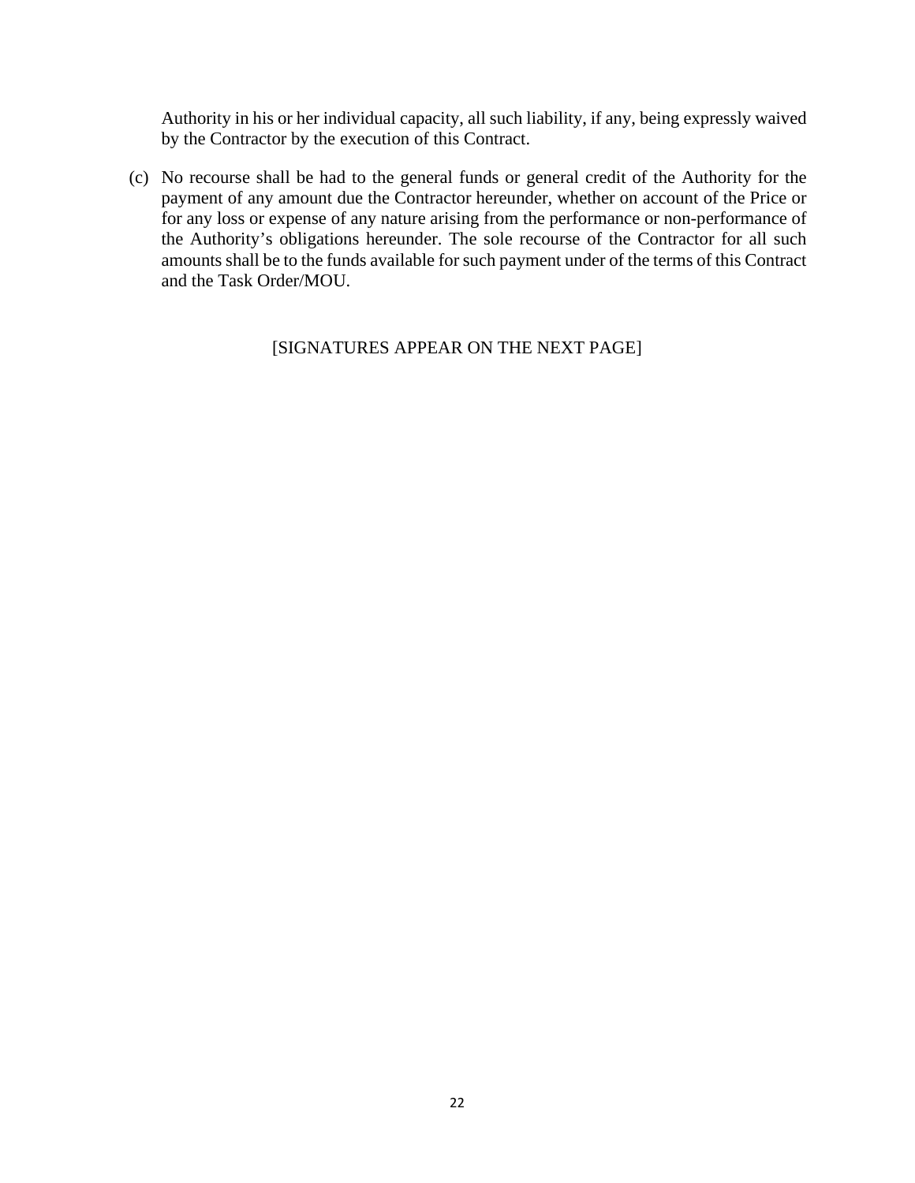Authority in his or her individual capacity, all such liability, if any, being expressly waived by the Contractor by the execution of this Contract.

(c) No recourse shall be had to the general funds or general credit of the Authority for the payment of any amount due the Contractor hereunder, whether on account of the Price or for any loss or expense of any nature arising from the performance or non-performance of the Authority's obligations hereunder. The sole recourse of the Contractor for all such amounts shall be to the funds available for such payment under of the terms of this Contract and the Task Order/MOU.

[SIGNATURES APPEAR ON THE NEXT PAGE]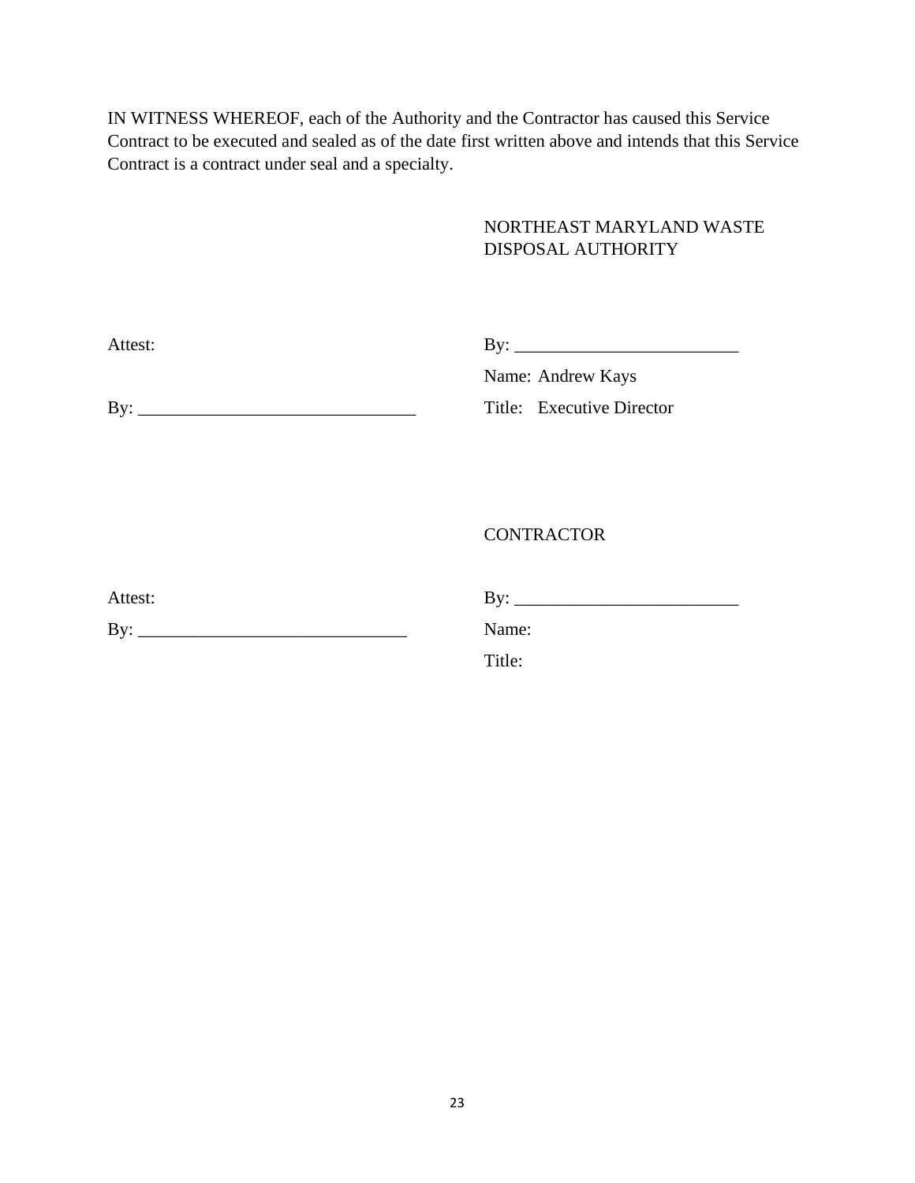IN WITNESS WHEREOF, each of the Authority and the Contractor has caused this Service Contract to be executed and sealed as of the date first written above and intends that this Service Contract is a contract under seal and a specialty.

# NORTHEAST MARYLAND WASTE DISPOSAL AUTHORITY

| Attest <sup>.</sup> | T |
|---------------------|---|
| いい                  | - |
|                     |   |

Name: Andrew Kays

By: \_\_\_\_\_\_\_\_\_\_\_\_\_\_\_\_\_\_\_\_\_\_\_\_\_\_\_\_\_\_\_ Title: Executive Director

**CONTRACTOR** 

| Attest: |       |
|---------|-------|
| By:     | Name: |

Attest: By: \_\_\_\_\_\_\_\_\_\_\_\_\_\_\_\_\_\_\_\_\_\_\_\_\_

Title: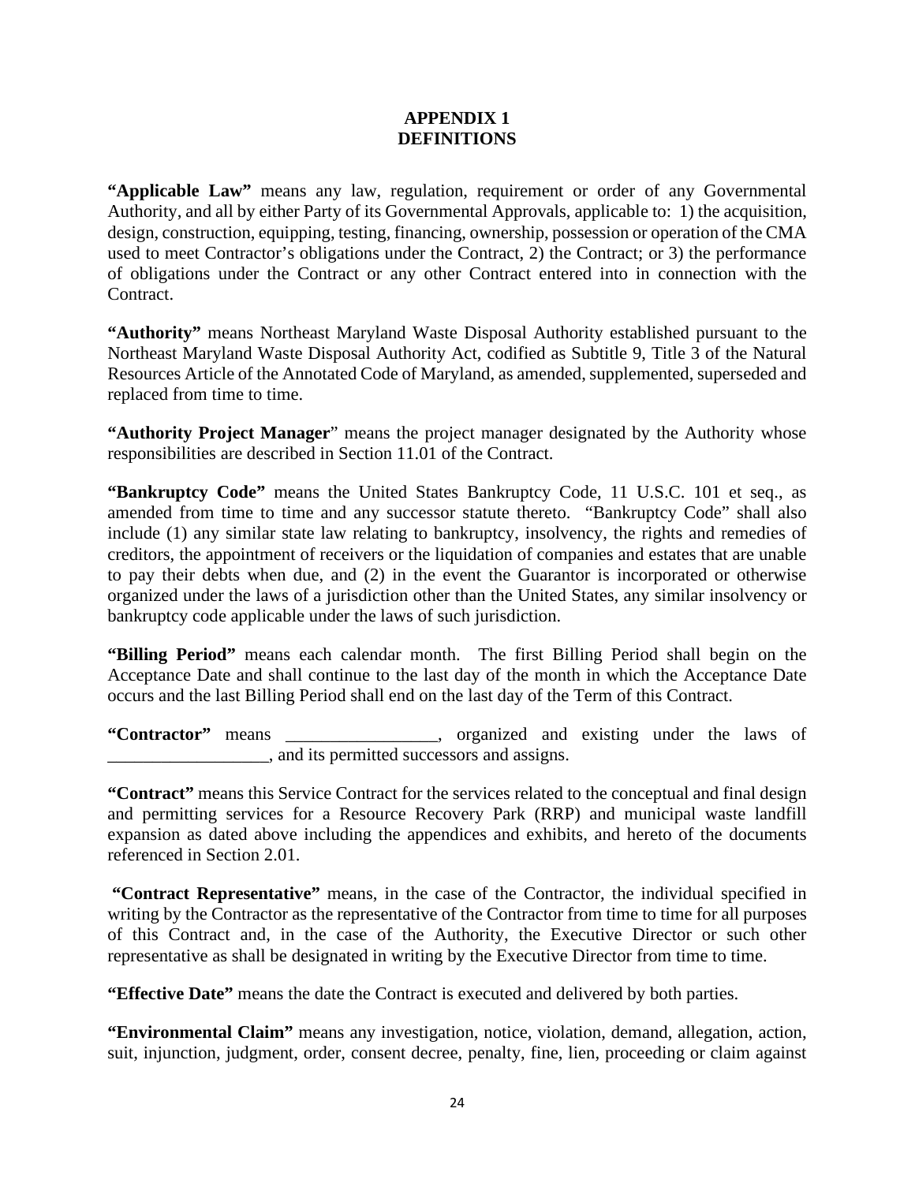## **APPENDIX 1 DEFINITIONS**

**"Applicable Law"** means any law, regulation, requirement or order of any Governmental Authority, and all by either Party of its Governmental Approvals, applicable to: 1) the acquisition, design, construction, equipping, testing, financing, ownership, possession or operation of the CMA used to meet Contractor's obligations under the Contract, 2) the Contract; or 3) the performance of obligations under the Contract or any other Contract entered into in connection with the Contract.

**"Authority"** means Northeast Maryland Waste Disposal Authority established pursuant to the Northeast Maryland Waste Disposal Authority Act, codified as Subtitle 9, Title 3 of the Natural Resources Article of the Annotated Code of Maryland, as amended, supplemented, superseded and replaced from time to time.

**"Authority Project Manager**" means the project manager designated by the Authority whose responsibilities are described in Section 11.01 of the Contract.

**"Bankruptcy Code"** means the United States Bankruptcy Code, 11 U.S.C. 101 et seq., as amended from time to time and any successor statute thereto. "Bankruptcy Code" shall also include (1) any similar state law relating to bankruptcy, insolvency, the rights and remedies of creditors, the appointment of receivers or the liquidation of companies and estates that are unable to pay their debts when due, and (2) in the event the Guarantor is incorporated or otherwise organized under the laws of a jurisdiction other than the United States, any similar insolvency or bankruptcy code applicable under the laws of such jurisdiction.

**"Billing Period"** means each calendar month. The first Billing Period shall begin on the Acceptance Date and shall continue to the last day of the month in which the Acceptance Date occurs and the last Billing Period shall end on the last day of the Term of this Contract.

**"Contractor"** means \_\_\_\_\_\_\_\_\_\_\_\_\_\_\_\_\_, organized and existing under the laws of  $\Box$ , and its permitted successors and assigns.

**"Contract"** means this Service Contract for the services related to the conceptual and final design and permitting services for a Resource Recovery Park (RRP) and municipal waste landfill expansion as dated above including the appendices and exhibits, and hereto of the documents referenced in Section 2.01.

**"Contract Representative"** means, in the case of the Contractor, the individual specified in writing by the Contractor as the representative of the Contractor from time to time for all purposes of this Contract and, in the case of the Authority, the Executive Director or such other representative as shall be designated in writing by the Executive Director from time to time.

**"Effective Date"** means the date the Contract is executed and delivered by both parties.

**"Environmental Claim"** means any investigation, notice, violation, demand, allegation, action, suit, injunction, judgment, order, consent decree, penalty, fine, lien, proceeding or claim against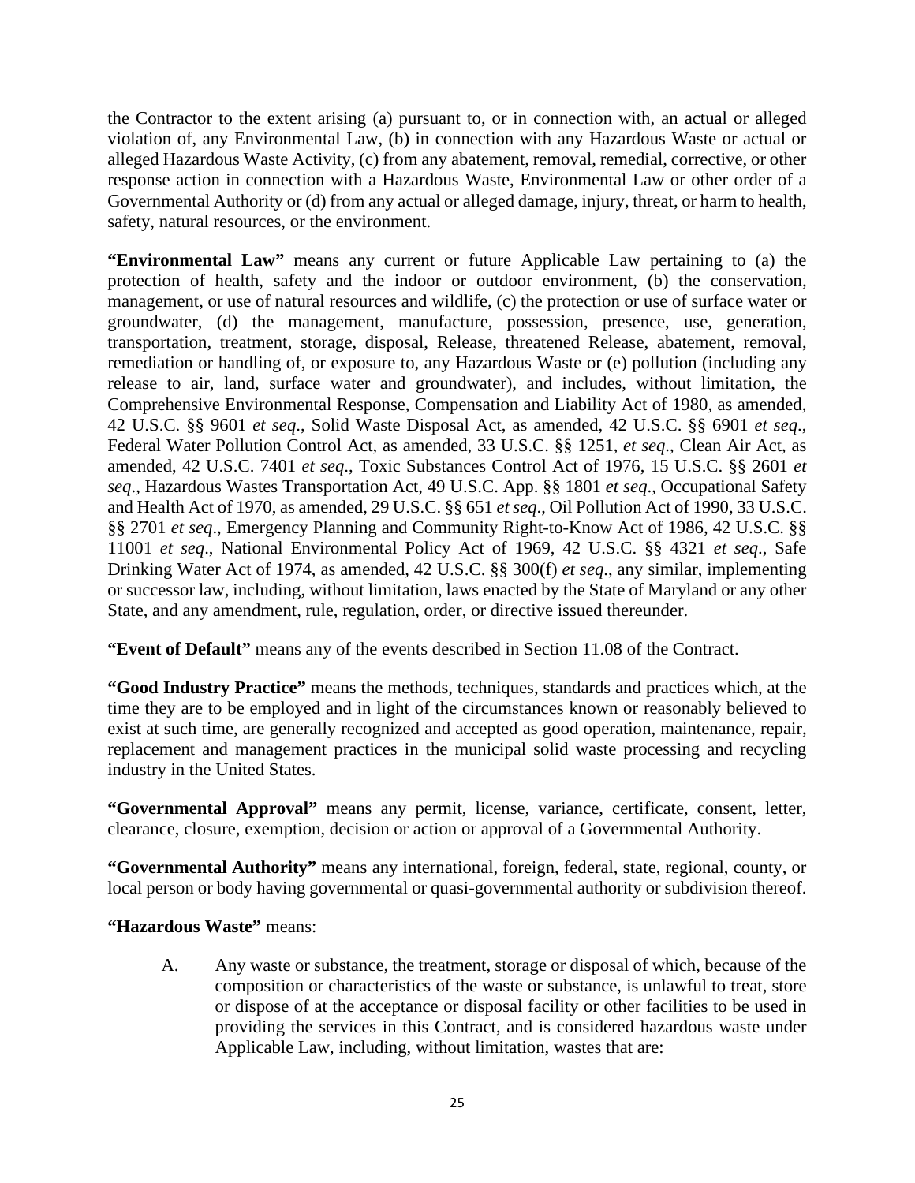the Contractor to the extent arising (a) pursuant to, or in connection with, an actual or alleged violation of, any Environmental Law, (b) in connection with any Hazardous Waste or actual or alleged Hazardous Waste Activity, (c) from any abatement, removal, remedial, corrective, or other response action in connection with a Hazardous Waste, Environmental Law or other order of a Governmental Authority or (d) from any actual or alleged damage, injury, threat, or harm to health, safety, natural resources, or the environment.

**"Environmental Law"** means any current or future Applicable Law pertaining to (a) the protection of health, safety and the indoor or outdoor environment, (b) the conservation, management, or use of natural resources and wildlife, (c) the protection or use of surface water or groundwater, (d) the management, manufacture, possession, presence, use, generation, transportation, treatment, storage, disposal, Release, threatened Release, abatement, removal, remediation or handling of, or exposure to, any Hazardous Waste or (e) pollution (including any release to air, land, surface water and groundwater), and includes, without limitation, the Comprehensive Environmental Response, Compensation and Liability Act of 1980, as amended, 42 U.S.C. §§ 9601 *et seq*., Solid Waste Disposal Act, as amended, 42 U.S.C. §§ 6901 *et seq*., Federal Water Pollution Control Act, as amended, 33 U.S.C. §§ 1251, *et seq*., Clean Air Act, as amended, 42 U.S.C. 7401 *et seq*., Toxic Substances Control Act of 1976, 15 U.S.C. §§ 2601 *et seq*., Hazardous Wastes Transportation Act, 49 U.S.C. App. §§ 1801 *et seq*., Occupational Safety and Health Act of 1970, as amended, 29 U.S.C. §§ 651 *et seq*., Oil Pollution Act of 1990, 33 U.S.C. §§ 2701 *et seq*., Emergency Planning and Community Right-to-Know Act of 1986, 42 U.S.C. §§ 11001 *et seq*., National Environmental Policy Act of 1969, 42 U.S.C. §§ 4321 *et seq*., Safe Drinking Water Act of 1974, as amended, 42 U.S.C. §§ 300(f) *et seq*., any similar, implementing or successor law, including, without limitation, laws enacted by the State of Maryland or any other State, and any amendment, rule, regulation, order, or directive issued thereunder.

**"Event of Default"** means any of the events described in Section 11.08 of the Contract.

**"Good Industry Practice"** means the methods, techniques, standards and practices which, at the time they are to be employed and in light of the circumstances known or reasonably believed to exist at such time, are generally recognized and accepted as good operation, maintenance, repair, replacement and management practices in the municipal solid waste processing and recycling industry in the United States.

**"Governmental Approval"** means any permit, license, variance, certificate, consent, letter, clearance, closure, exemption, decision or action or approval of a Governmental Authority.

**"Governmental Authority"** means any international, foreign, federal, state, regional, county, or local person or body having governmental or quasi-governmental authority or subdivision thereof.

# **"Hazardous Waste"** means:

A. Any waste or substance, the treatment, storage or disposal of which, because of the composition or characteristics of the waste or substance, is unlawful to treat, store or dispose of at the acceptance or disposal facility or other facilities to be used in providing the services in this Contract, and is considered hazardous waste under Applicable Law, including, without limitation, wastes that are: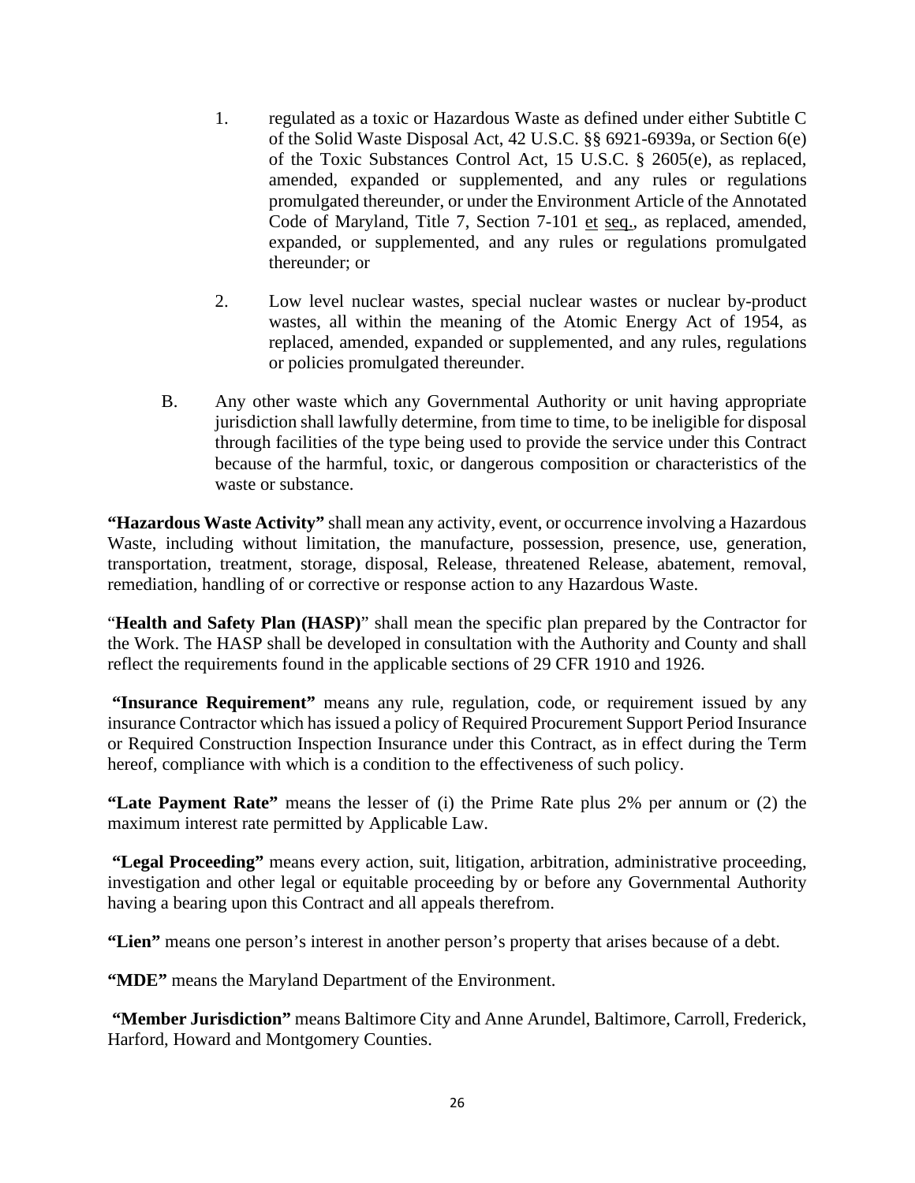- 1. regulated as a toxic or Hazardous Waste as defined under either Subtitle C of the Solid Waste Disposal Act, 42 U.S.C. §§ 6921-6939a, or Section 6(e) of the Toxic Substances Control Act, 15 U.S.C. § 2605(e), as replaced, amended, expanded or supplemented, and any rules or regulations promulgated thereunder, or under the Environment Article of the Annotated Code of Maryland, Title 7, Section 7-101 et seq., as replaced, amended, expanded, or supplemented, and any rules or regulations promulgated thereunder; or
- 2. Low level nuclear wastes, special nuclear wastes or nuclear by-product wastes, all within the meaning of the Atomic Energy Act of 1954, as replaced, amended, expanded or supplemented, and any rules, regulations or policies promulgated thereunder.
- B. Any other waste which any Governmental Authority or unit having appropriate jurisdiction shall lawfully determine, from time to time, to be ineligible for disposal through facilities of the type being used to provide the service under this Contract because of the harmful, toxic, or dangerous composition or characteristics of the waste or substance.

**"Hazardous Waste Activity"** shall mean any activity, event, or occurrence involving a Hazardous Waste, including without limitation, the manufacture, possession, presence, use, generation, transportation, treatment, storage, disposal, Release, threatened Release, abatement, removal, remediation, handling of or corrective or response action to any Hazardous Waste.

"**Health and Safety Plan (HASP)**" shall mean the specific plan prepared by the Contractor for the Work. The HASP shall be developed in consultation with the Authority and County and shall reflect the requirements found in the applicable sections of 29 CFR 1910 and 1926.

**"Insurance Requirement"** means any rule, regulation, code, or requirement issued by any insurance Contractor which has issued a policy of Required Procurement Support Period Insurance or Required Construction Inspection Insurance under this Contract, as in effect during the Term hereof, compliance with which is a condition to the effectiveness of such policy.

**"Late Payment Rate"** means the lesser of (i) the Prime Rate plus 2% per annum or (2) the maximum interest rate permitted by Applicable Law.

**"Legal Proceeding"** means every action, suit, litigation, arbitration, administrative proceeding, investigation and other legal or equitable proceeding by or before any Governmental Authority having a bearing upon this Contract and all appeals therefrom.

**"Lien"** means one person's interest in another person's property that arises because of a debt.

**"MDE"** means the Maryland Department of the Environment.

**"Member Jurisdiction"** means Baltimore City and Anne Arundel, Baltimore, Carroll, Frederick, Harford, Howard and Montgomery Counties.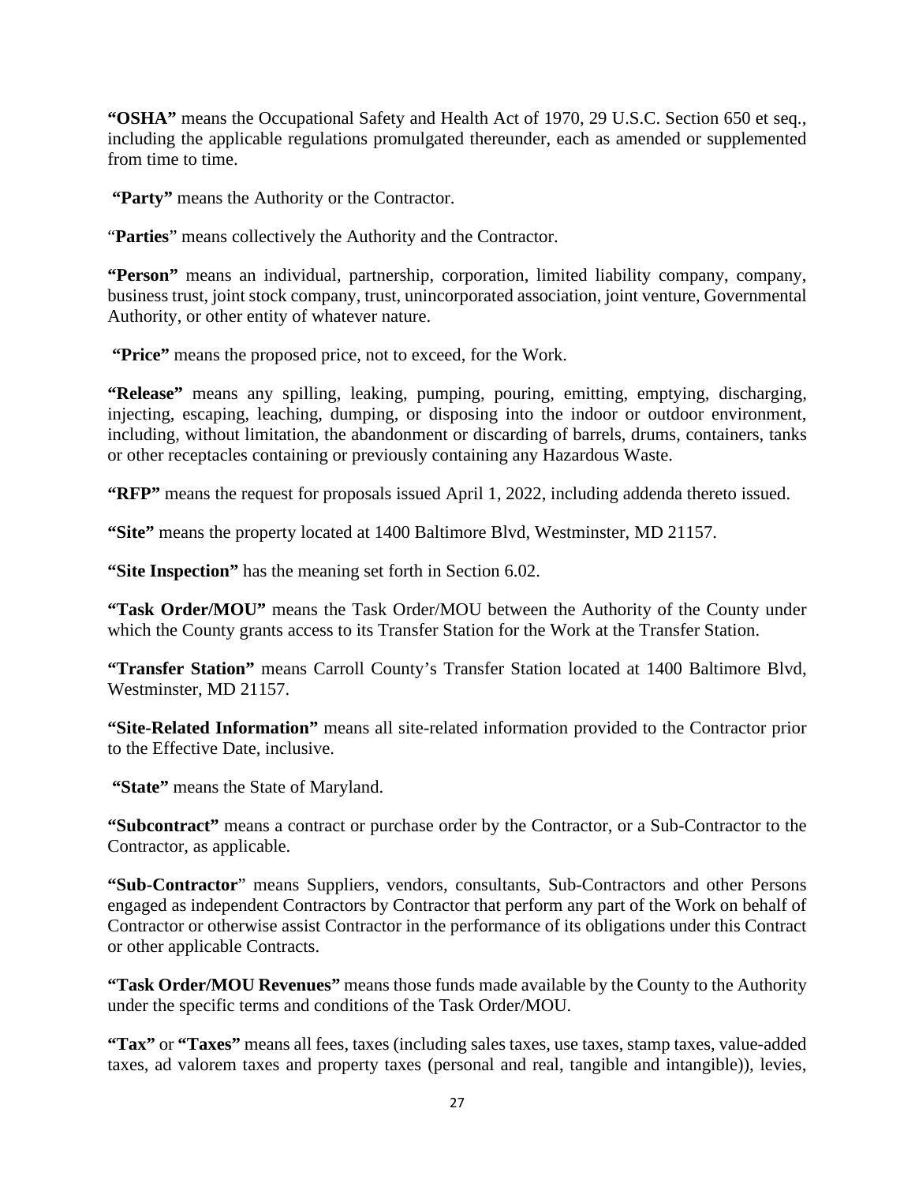**"OSHA"** means the Occupational Safety and Health Act of 1970, 29 U.S.C. Section 650 et seq., including the applicable regulations promulgated thereunder, each as amended or supplemented from time to time.

**"Party"** means the Authority or the Contractor.

"**Parties**" means collectively the Authority and the Contractor.

**"Person"** means an individual, partnership, corporation, limited liability company, company, business trust, joint stock company, trust, unincorporated association, joint venture, Governmental Authority, or other entity of whatever nature.

**"Price"** means the proposed price, not to exceed, for the Work.

**"Release"** means any spilling, leaking, pumping, pouring, emitting, emptying, discharging, injecting, escaping, leaching, dumping, or disposing into the indoor or outdoor environment, including, without limitation, the abandonment or discarding of barrels, drums, containers, tanks or other receptacles containing or previously containing any Hazardous Waste.

**"RFP"** means the request for proposals issued April 1, 2022, including addenda thereto issued.

**"Site"** means the property located at 1400 Baltimore Blvd, Westminster, MD 21157.

**"Site Inspection"** has the meaning set forth in Section 6.02.

**"Task Order/MOU"** means the Task Order/MOU between the Authority of the County under which the County grants access to its Transfer Station for the Work at the Transfer Station.

**"Transfer Station"** means Carroll County's Transfer Station located at 1400 Baltimore Blvd, Westminster, MD 21157.

**"Site-Related Information"** means all site-related information provided to the Contractor prior to the Effective Date, inclusive.

**"State"** means the State of Maryland.

**"Subcontract"** means a contract or purchase order by the Contractor, or a Sub-Contractor to the Contractor, as applicable.

**"Sub-Contractor**" means Suppliers, vendors, consultants, Sub-Contractors and other Persons engaged as independent Contractors by Contractor that perform any part of the Work on behalf of Contractor or otherwise assist Contractor in the performance of its obligations under this Contract or other applicable Contracts.

**"Task Order/MOU Revenues"** means those funds made available by the County to the Authority under the specific terms and conditions of the Task Order/MOU.

**"Tax"** or **"Taxes"** means all fees, taxes (including sales taxes, use taxes, stamp taxes, value-added taxes, ad valorem taxes and property taxes (personal and real, tangible and intangible)), levies,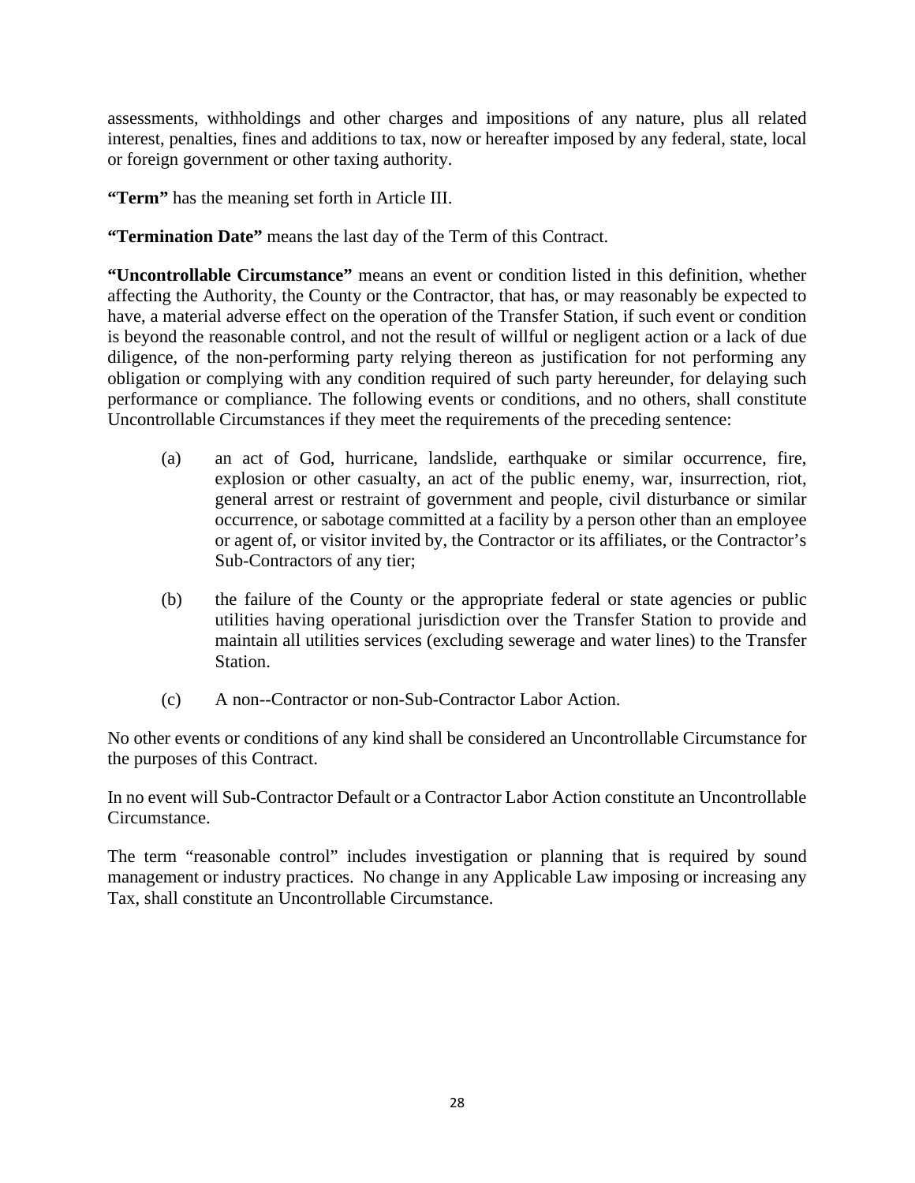assessments, withholdings and other charges and impositions of any nature, plus all related interest, penalties, fines and additions to tax, now or hereafter imposed by any federal, state, local or foreign government or other taxing authority.

**"Term"** has the meaning set forth in Article III.

**"Termination Date"** means the last day of the Term of this Contract.

**"Uncontrollable Circumstance"** means an event or condition listed in this definition, whether affecting the Authority, the County or the Contractor, that has, or may reasonably be expected to have, a material adverse effect on the operation of the Transfer Station, if such event or condition is beyond the reasonable control, and not the result of willful or negligent action or a lack of due diligence, of the non-performing party relying thereon as justification for not performing any obligation or complying with any condition required of such party hereunder, for delaying such performance or compliance. The following events or conditions, and no others, shall constitute Uncontrollable Circumstances if they meet the requirements of the preceding sentence:

- (a) an act of God, hurricane, landslide, earthquake or similar occurrence, fire, explosion or other casualty, an act of the public enemy, war, insurrection, riot, general arrest or restraint of government and people, civil disturbance or similar occurrence, or sabotage committed at a facility by a person other than an employee or agent of, or visitor invited by, the Contractor or its affiliates, or the Contractor's Sub-Contractors of any tier;
- (b) the failure of the County or the appropriate federal or state agencies or public utilities having operational jurisdiction over the Transfer Station to provide and maintain all utilities services (excluding sewerage and water lines) to the Transfer Station.
- (c) A non--Contractor or non-Sub-Contractor Labor Action.

No other events or conditions of any kind shall be considered an Uncontrollable Circumstance for the purposes of this Contract.

In no event will Sub-Contractor Default or a Contractor Labor Action constitute an Uncontrollable Circumstance.

The term "reasonable control" includes investigation or planning that is required by sound management or industry practices. No change in any Applicable Law imposing or increasing any Tax, shall constitute an Uncontrollable Circumstance.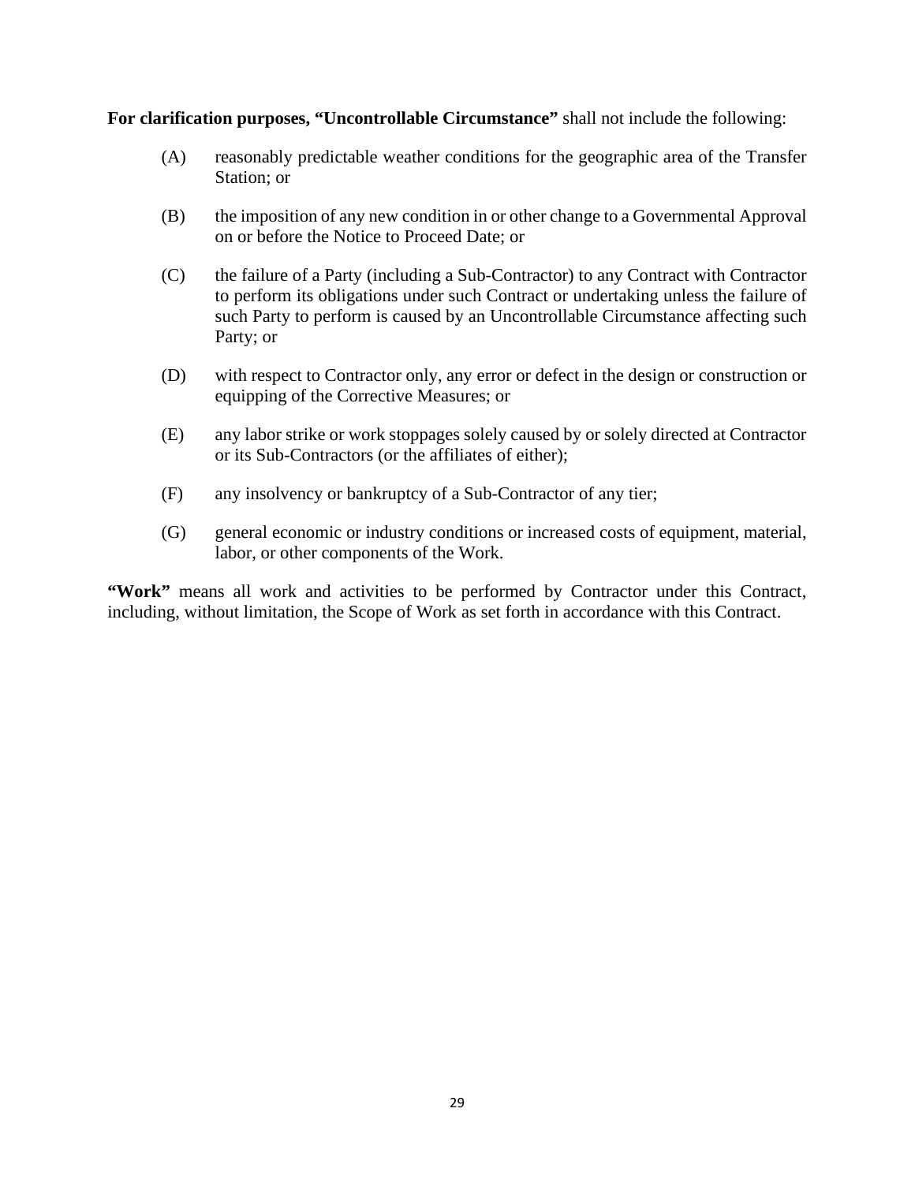**For clarification purposes, "Uncontrollable Circumstance"** shall not include the following:

- (A) reasonably predictable weather conditions for the geographic area of the Transfer Station; or
- (B) the imposition of any new condition in or other change to a Governmental Approval on or before the Notice to Proceed Date; or
- (C) the failure of a Party (including a Sub-Contractor) to any Contract with Contractor to perform its obligations under such Contract or undertaking unless the failure of such Party to perform is caused by an Uncontrollable Circumstance affecting such Party; or
- (D) with respect to Contractor only, any error or defect in the design or construction or equipping of the Corrective Measures; or
- (E) any labor strike or work stoppages solely caused by or solely directed at Contractor or its Sub-Contractors (or the affiliates of either);
- (F) any insolvency or bankruptcy of a Sub-Contractor of any tier;
- (G) general economic or industry conditions or increased costs of equipment, material, labor, or other components of the Work.

**"Work"** means all work and activities to be performed by Contractor under this Contract, including, without limitation, the Scope of Work as set forth in accordance with this Contract.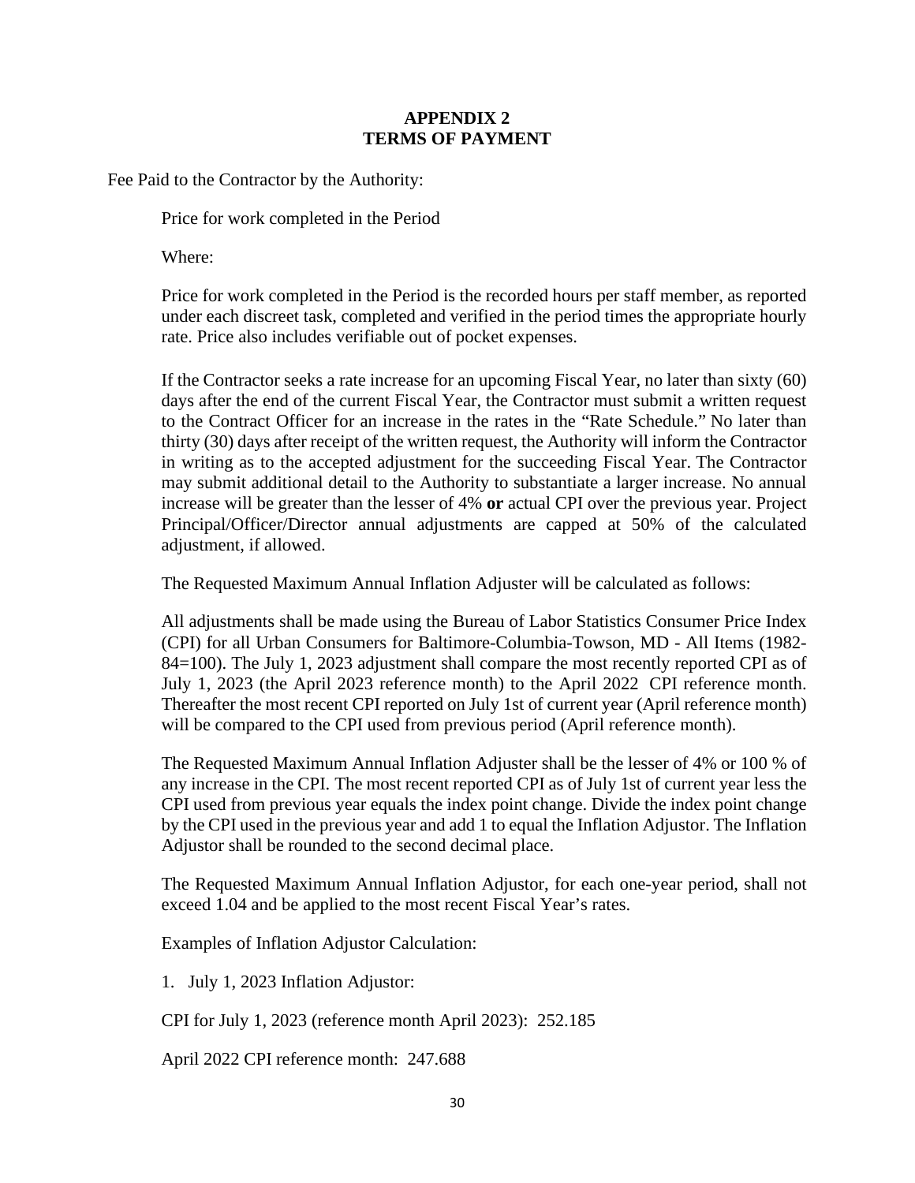## **APPENDIX 2 TERMS OF PAYMENT**

Fee Paid to the Contractor by the Authority:

Price for work completed in the Period

Where:

Price for work completed in the Period is the recorded hours per staff member, as reported under each discreet task, completed and verified in the period times the appropriate hourly rate. Price also includes verifiable out of pocket expenses.

If the Contractor seeks a rate increase for an upcoming Fiscal Year, no later than sixty (60) days after the end of the current Fiscal Year, the Contractor must submit a written request to the Contract Officer for an increase in the rates in the "Rate Schedule." No later than thirty (30) days after receipt of the written request, the Authority will inform the Contractor in writing as to the accepted adjustment for the succeeding Fiscal Year. The Contractor may submit additional detail to the Authority to substantiate a larger increase. No annual increase will be greater than the lesser of 4% **or** actual CPI over the previous year. Project Principal/Officer/Director annual adjustments are capped at 50% of the calculated adjustment, if allowed.

The Requested Maximum Annual Inflation Adjuster will be calculated as follows:

All adjustments shall be made using the Bureau of Labor Statistics Consumer Price Index (CPI) for all Urban Consumers for Baltimore-Columbia-Towson, MD - All Items (1982- 84=100). The July 1, 2023 adjustment shall compare the most recently reported CPI as of July 1, 2023 (the April 2023 reference month) to the April 2022 CPI reference month. Thereafter the most recent CPI reported on July 1st of current year (April reference month) will be compared to the CPI used from previous period (April reference month).

The Requested Maximum Annual Inflation Adjuster shall be the lesser of 4% or 100 % of any increase in the CPI. The most recent reported CPI as of July 1st of current year less the CPI used from previous year equals the index point change. Divide the index point change by the CPI used in the previous year and add 1 to equal the Inflation Adjustor. The Inflation Adjustor shall be rounded to the second decimal place.

The Requested Maximum Annual Inflation Adjustor, for each one-year period, shall not exceed 1.04 and be applied to the most recent Fiscal Year's rates.

Examples of Inflation Adjustor Calculation:

1. July 1, 2023 Inflation Adjustor:

CPI for July 1, 2023 (reference month April 2023): 252.185

April 2022 CPI reference month: 247.688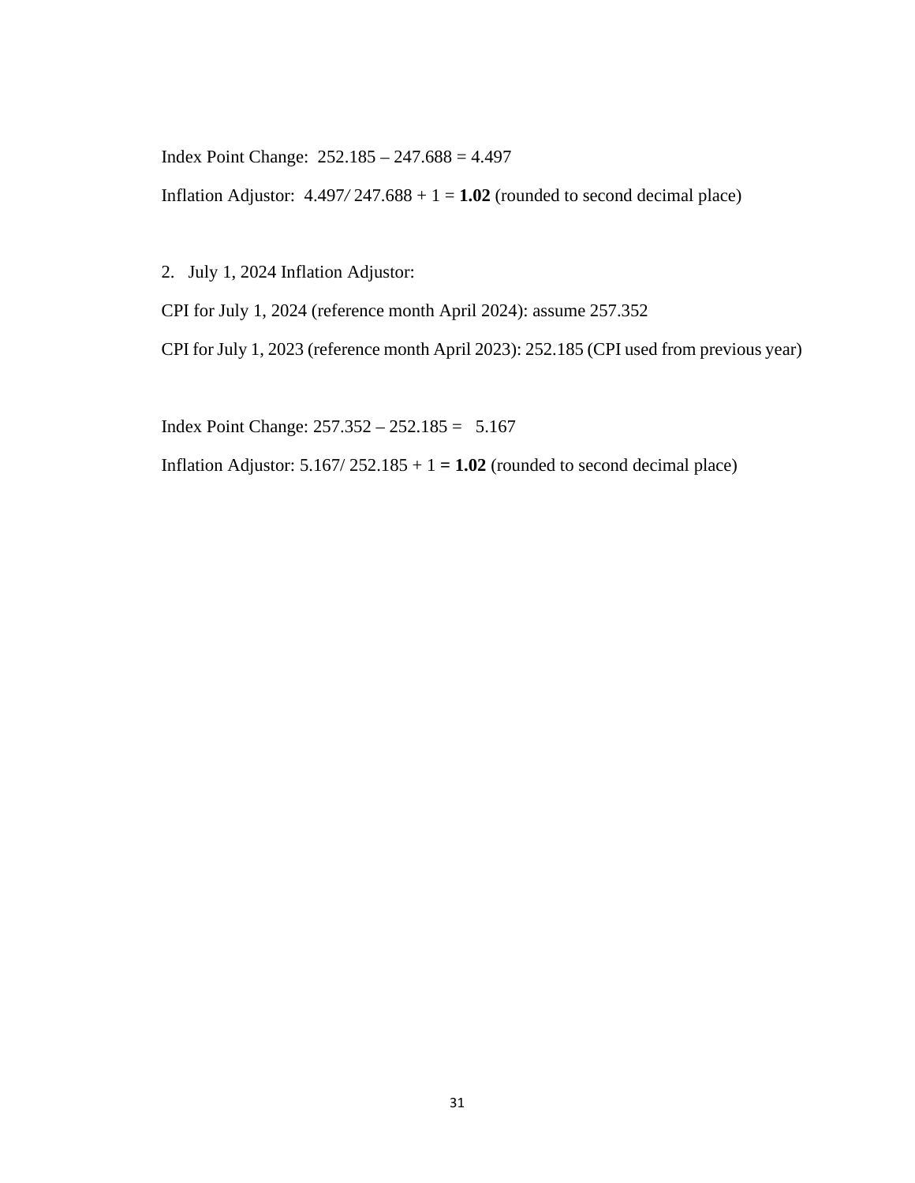Index Point Change: 252.185 – 247.688 = 4.497

Inflation Adjustor:  $4.497/247.688 + 1 = 1.02$  (rounded to second decimal place)

2. July 1, 2024 Inflation Adjustor:

CPI for July 1, 2024 (reference month April 2024): assume 257.352

CPI for July 1, 2023 (reference month April 2023): 252.185 (CPI used from previous year)

Index Point Change: 257.352 – 252.185 = 5.167

Inflation Adjustor:  $5.167/252.185 + 1 = 1.02$  (rounded to second decimal place)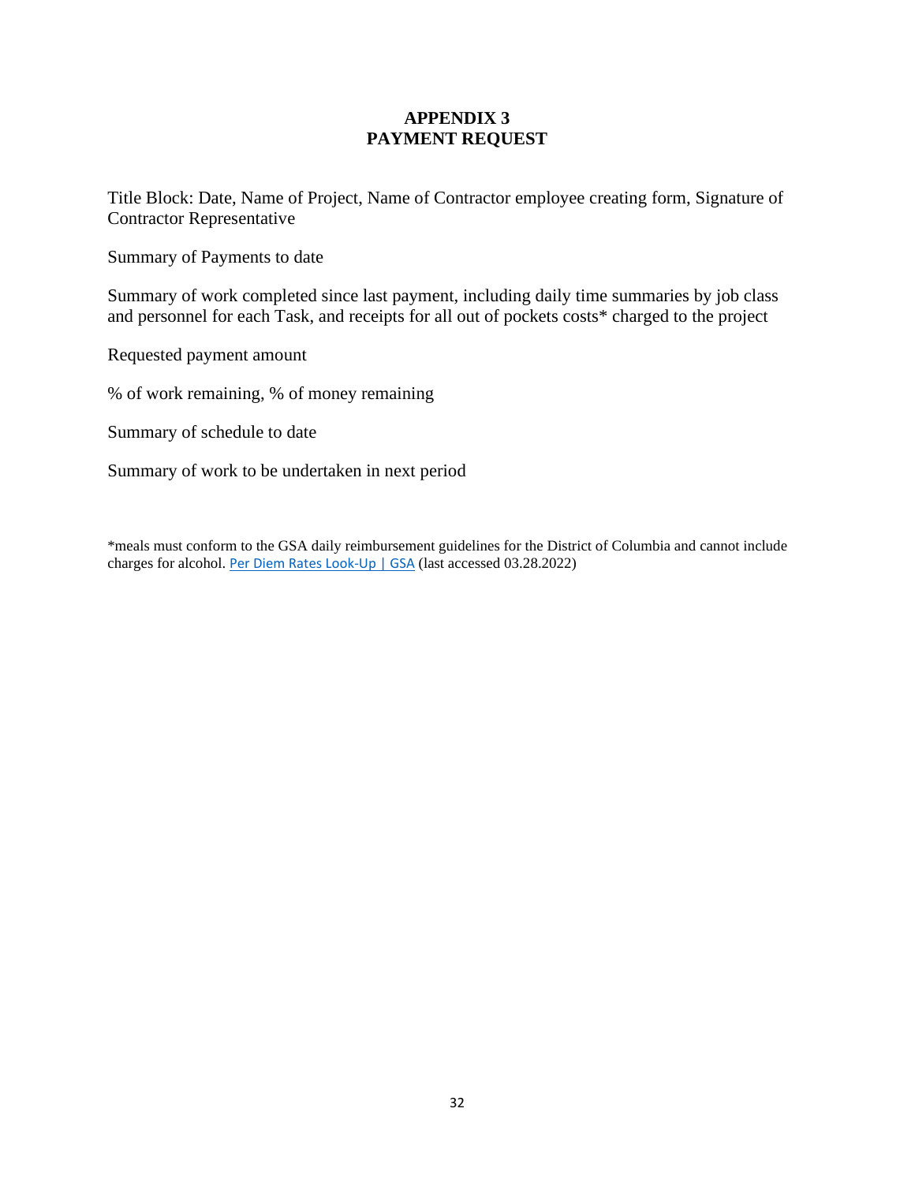# **APPENDIX 3 PAYMENT REQUEST**

Title Block: Date, Name of Project, Name of Contractor employee creating form, Signature of Contractor Representative

Summary of Payments to date

Summary of work completed since last payment, including daily time summaries by job class and personnel for each Task, and receipts for all out of pockets costs\* charged to the project

Requested payment amount

% of work remaining, % of money remaining

Summary of schedule to date

Summary of work to be undertaken in next period

\*meals must conform to the GSA daily reimbursement guidelines for the District of Columbia and cannot include charges for alcohol. [Per Diem Rates Look-Up | GSA](https://www.gsa.gov/travel/plan-book/per-diem-rates/per-diem-rates-lookup/?action=perdiems_report&state=MD&fiscal_year=2022&zip=&city=Rockville) (last accessed 03.28.2022)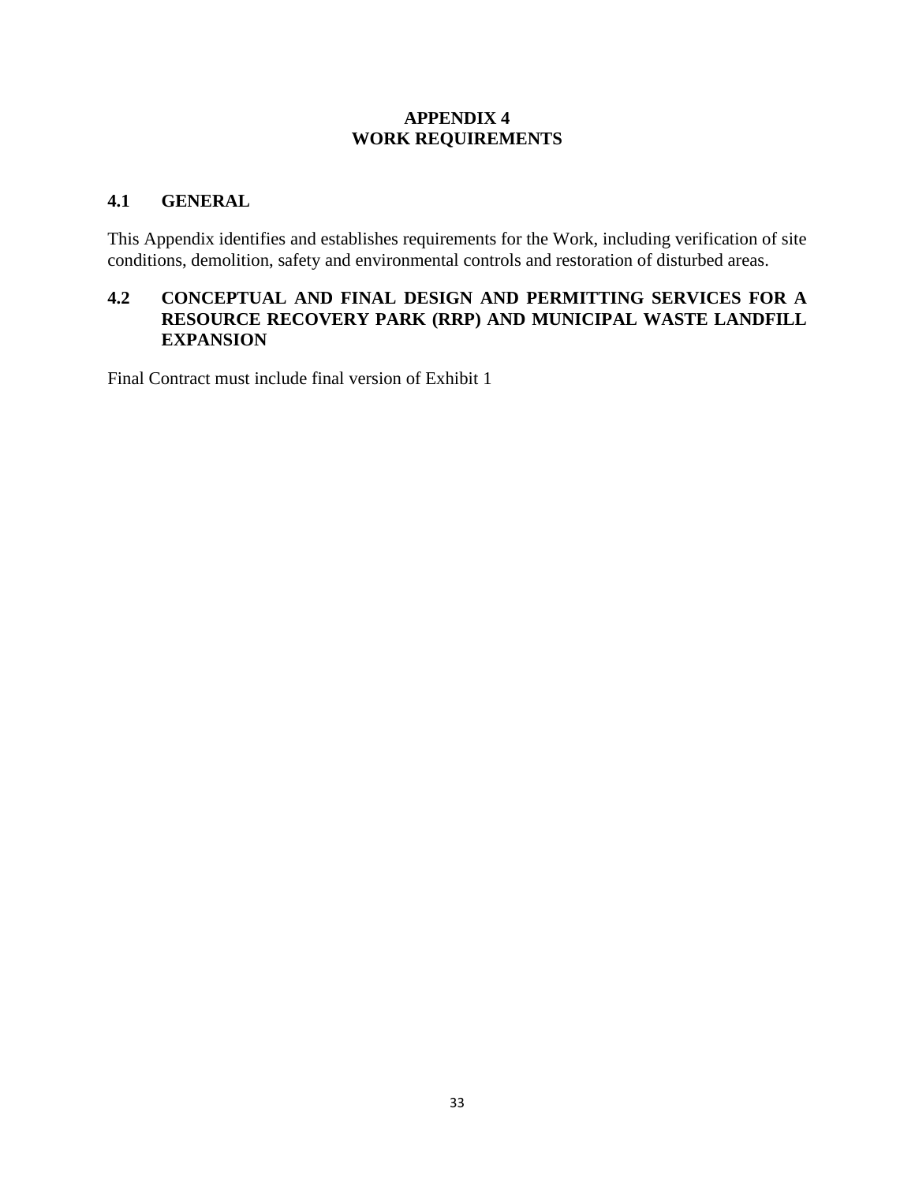## **APPENDIX 4 WORK REQUIREMENTS**

# **4.1 GENERAL**

This Appendix identifies and establishes requirements for the Work, including verification of site conditions, demolition, safety and environmental controls and restoration of disturbed areas.

## **4.2 CONCEPTUAL AND FINAL DESIGN AND PERMITTING SERVICES FOR A RESOURCE RECOVERY PARK (RRP) AND MUNICIPAL WASTE LANDFILL EXPANSION**

Final Contract must include final version of Exhibit 1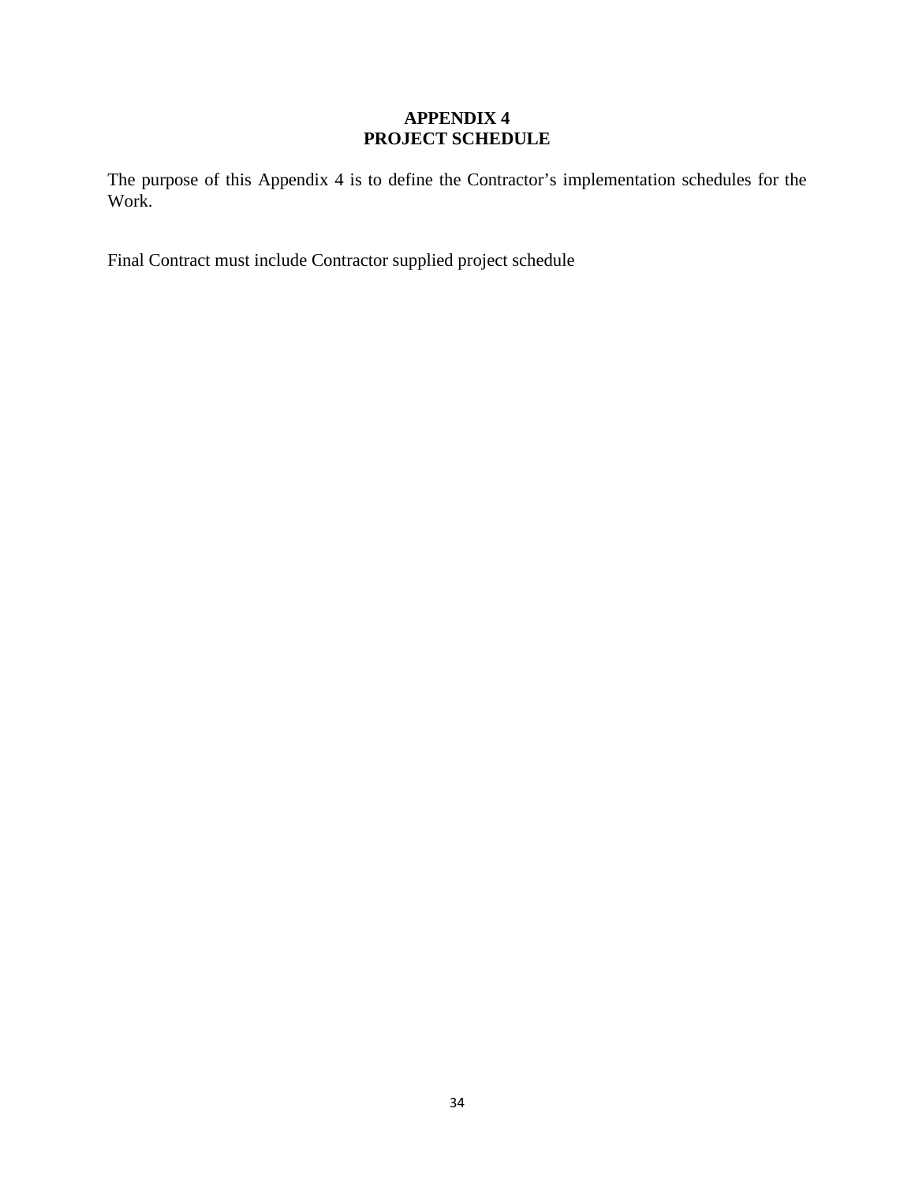# **APPENDIX 4 PROJECT SCHEDULE**

The purpose of this Appendix 4 is to define the Contractor's implementation schedules for the Work.

Final Contract must include Contractor supplied project schedule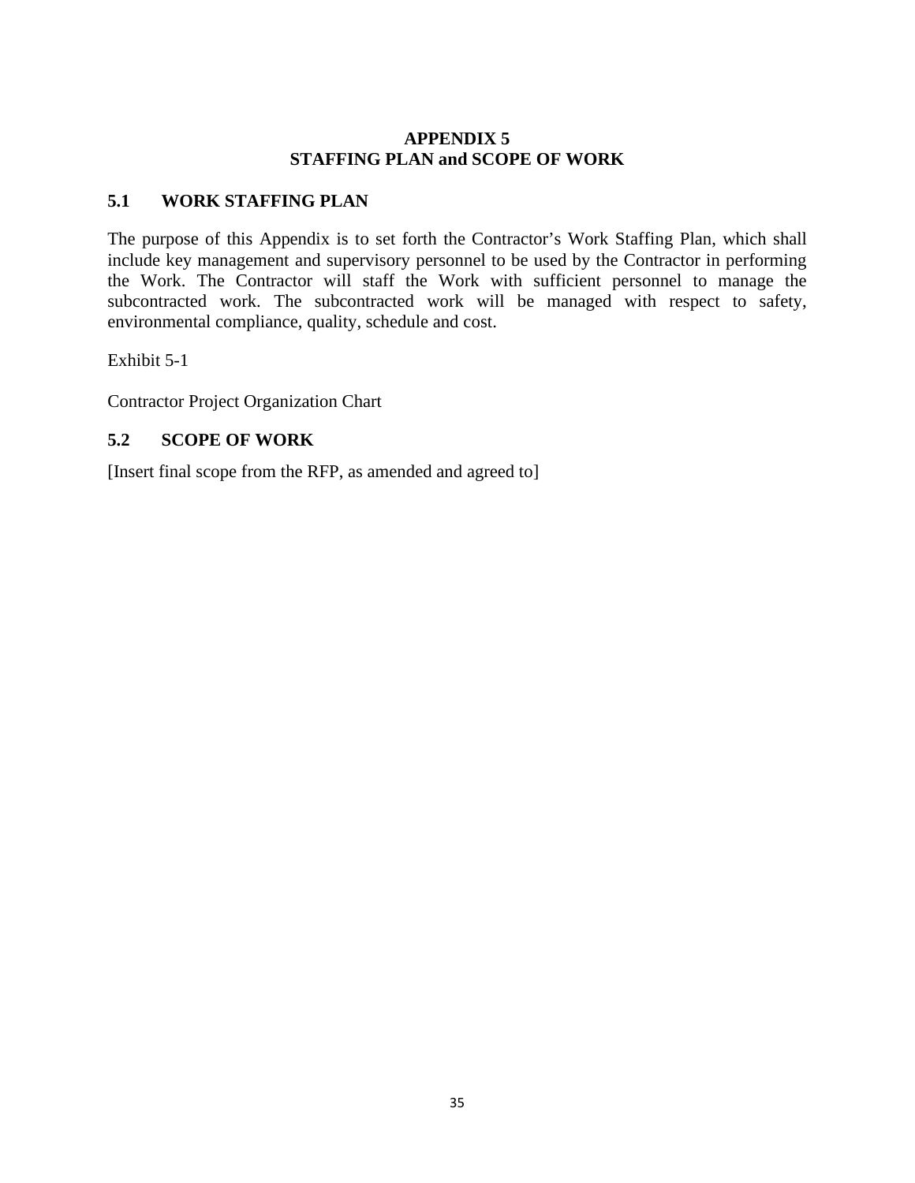# **APPENDIX 5 STAFFING PLAN and SCOPE OF WORK**

# **5.1 WORK STAFFING PLAN**

The purpose of this Appendix is to set forth the Contractor's Work Staffing Plan, which shall include key management and supervisory personnel to be used by the Contractor in performing the Work. The Contractor will staff the Work with sufficient personnel to manage the subcontracted work. The subcontracted work will be managed with respect to safety, environmental compliance, quality, schedule and cost.

Exhibit 5-1

Contractor Project Organization Chart

# **5.2 SCOPE OF WORK**

[Insert final scope from the RFP, as amended and agreed to]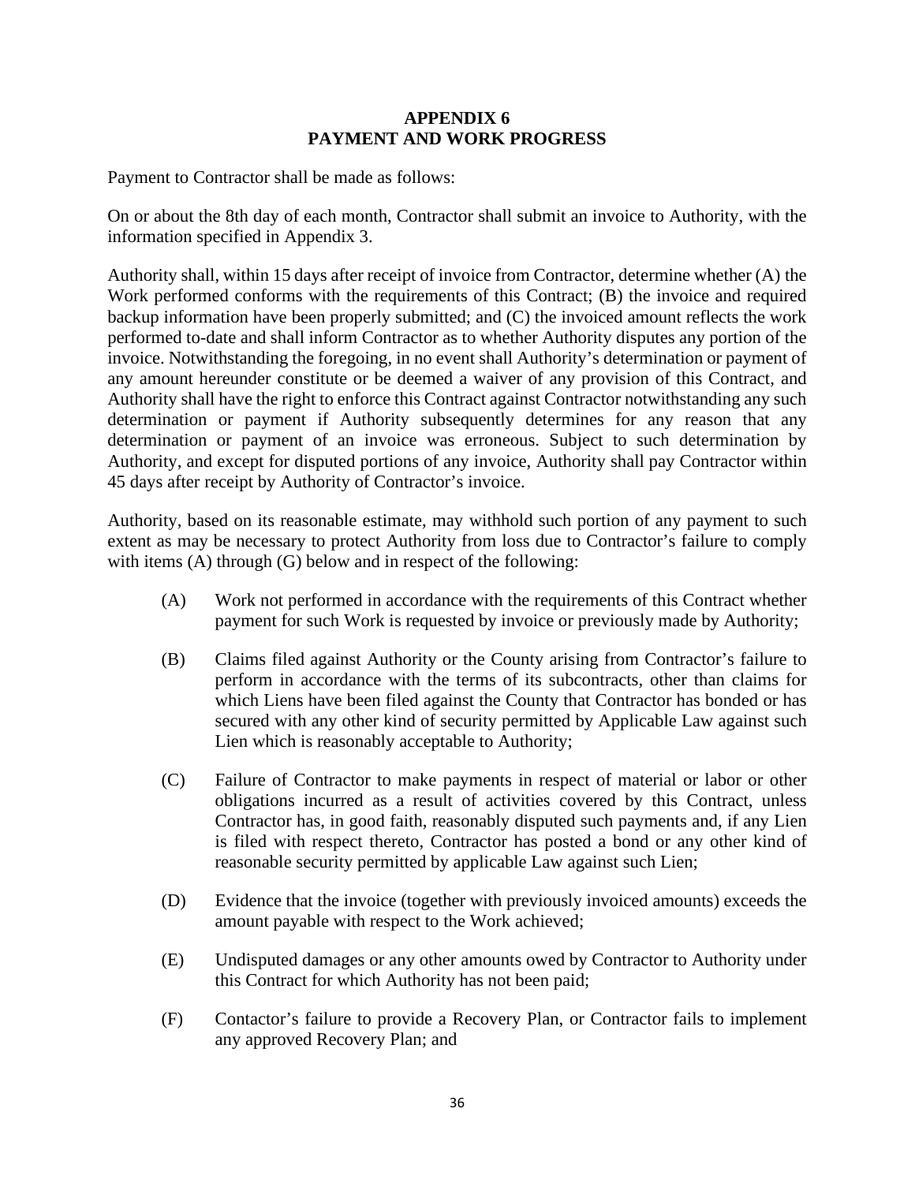## **APPENDIX 6 PAYMENT AND WORK PROGRESS**

Payment to Contractor shall be made as follows:

On or about the 8th day of each month, Contractor shall submit an invoice to Authority, with the information specified in Appendix 3.

Authority shall, within 15 days after receipt of invoice from Contractor, determine whether (A) the Work performed conforms with the requirements of this Contract; (B) the invoice and required backup information have been properly submitted; and (C) the invoiced amount reflects the work performed to-date and shall inform Contractor as to whether Authority disputes any portion of the invoice. Notwithstanding the foregoing, in no event shall Authority's determination or payment of any amount hereunder constitute or be deemed a waiver of any provision of this Contract, and Authority shall have the right to enforce this Contract against Contractor notwithstanding any such determination or payment if Authority subsequently determines for any reason that any determination or payment of an invoice was erroneous. Subject to such determination by Authority, and except for disputed portions of any invoice, Authority shall pay Contractor within 45 days after receipt by Authority of Contractor's invoice.

Authority, based on its reasonable estimate, may withhold such portion of any payment to such extent as may be necessary to protect Authority from loss due to Contractor's failure to comply with items (A) through (G) below and in respect of the following:

- (A) Work not performed in accordance with the requirements of this Contract whether payment for such Work is requested by invoice or previously made by Authority;
- (B) Claims filed against Authority or the County arising from Contractor's failure to perform in accordance with the terms of its subcontracts, other than claims for which Liens have been filed against the County that Contractor has bonded or has secured with any other kind of security permitted by Applicable Law against such Lien which is reasonably acceptable to Authority;
- (C) Failure of Contractor to make payments in respect of material or labor or other obligations incurred as a result of activities covered by this Contract, unless Contractor has, in good faith, reasonably disputed such payments and, if any Lien is filed with respect thereto, Contractor has posted a bond or any other kind of reasonable security permitted by applicable Law against such Lien;
- (D) Evidence that the invoice (together with previously invoiced amounts) exceeds the amount payable with respect to the Work achieved;
- (E) Undisputed damages or any other amounts owed by Contractor to Authority under this Contract for which Authority has not been paid;
- (F) Contactor's failure to provide a Recovery Plan, or Contractor fails to implement any approved Recovery Plan; and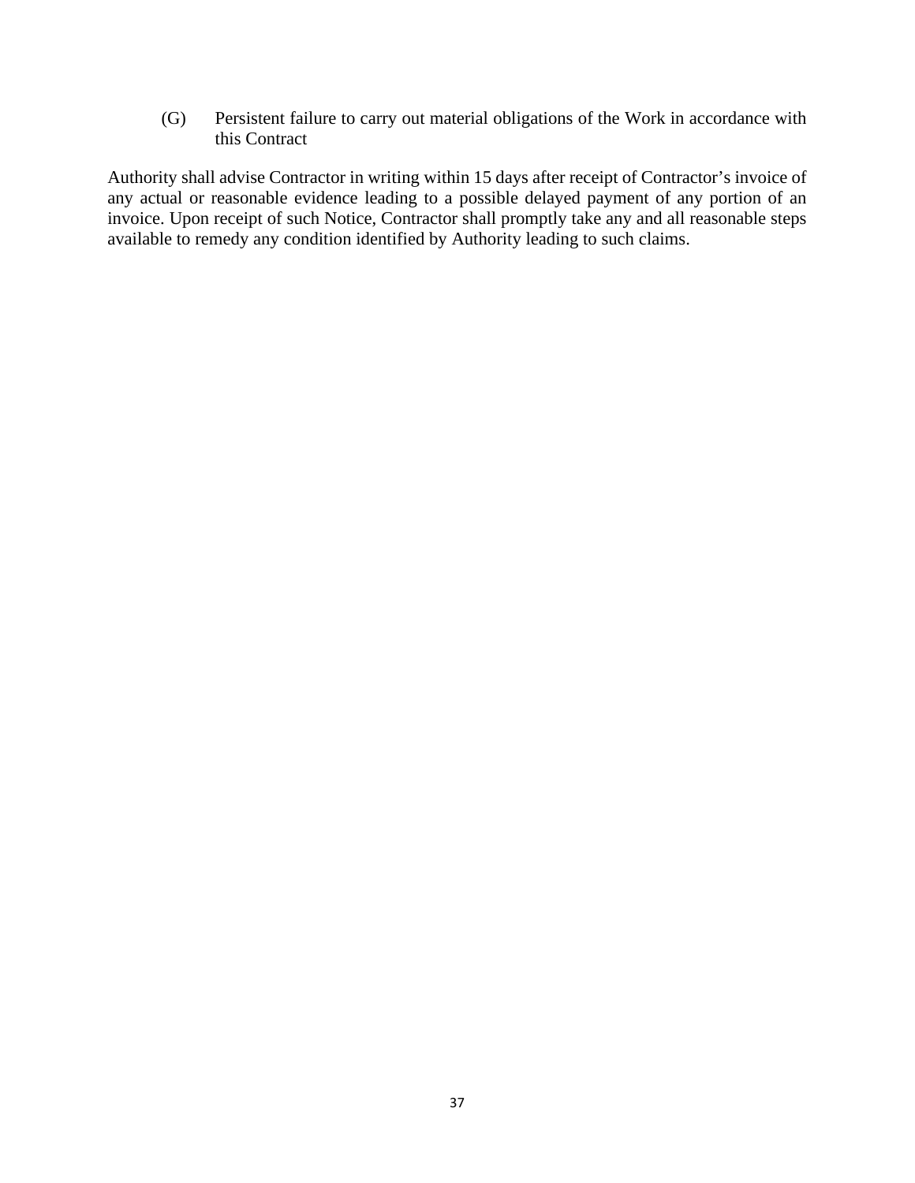(G) Persistent failure to carry out material obligations of the Work in accordance with this Contract

Authority shall advise Contractor in writing within 15 days after receipt of Contractor's invoice of any actual or reasonable evidence leading to a possible delayed payment of any portion of an invoice. Upon receipt of such Notice, Contractor shall promptly take any and all reasonable steps available to remedy any condition identified by Authority leading to such claims.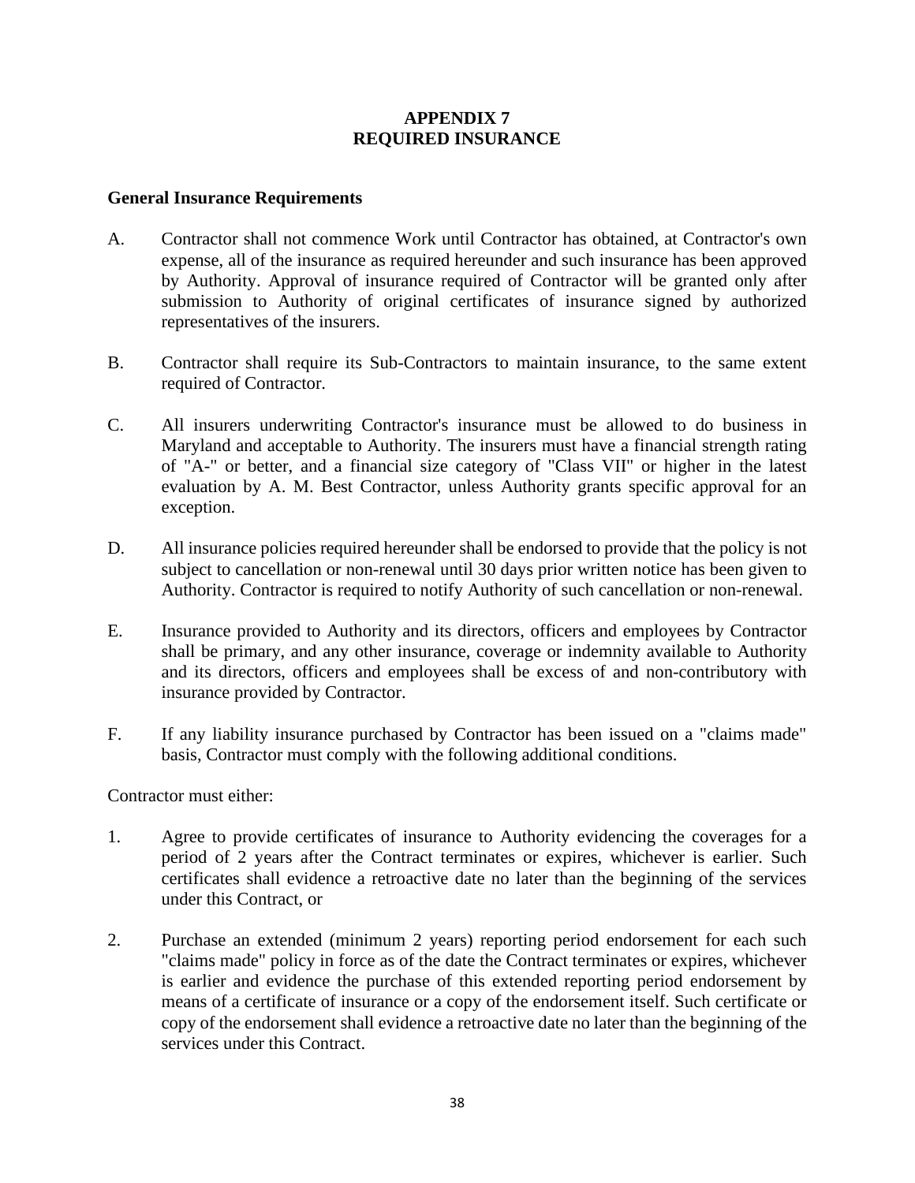## **APPENDIX 7 REQUIRED INSURANCE**

## **General Insurance Requirements**

- A. Contractor shall not commence Work until Contractor has obtained, at Contractor's own expense, all of the insurance as required hereunder and such insurance has been approved by Authority. Approval of insurance required of Contractor will be granted only after submission to Authority of original certificates of insurance signed by authorized representatives of the insurers.
- B. Contractor shall require its Sub-Contractors to maintain insurance, to the same extent required of Contractor.
- C. All insurers underwriting Contractor's insurance must be allowed to do business in Maryland and acceptable to Authority. The insurers must have a financial strength rating of "A-" or better, and a financial size category of "Class VII" or higher in the latest evaluation by A. M. Best Contractor, unless Authority grants specific approval for an exception.
- D. All insurance policies required hereunder shall be endorsed to provide that the policy is not subject to cancellation or non-renewal until 30 days prior written notice has been given to Authority. Contractor is required to notify Authority of such cancellation or non-renewal.
- E. Insurance provided to Authority and its directors, officers and employees by Contractor shall be primary, and any other insurance, coverage or indemnity available to Authority and its directors, officers and employees shall be excess of and non-contributory with insurance provided by Contractor.
- F. If any liability insurance purchased by Contractor has been issued on a "claims made" basis, Contractor must comply with the following additional conditions.

Contractor must either:

- 1. Agree to provide certificates of insurance to Authority evidencing the coverages for a period of 2 years after the Contract terminates or expires, whichever is earlier. Such certificates shall evidence a retroactive date no later than the beginning of the services under this Contract, or
- 2. Purchase an extended (minimum 2 years) reporting period endorsement for each such "claims made" policy in force as of the date the Contract terminates or expires, whichever is earlier and evidence the purchase of this extended reporting period endorsement by means of a certificate of insurance or a copy of the endorsement itself. Such certificate or copy of the endorsement shall evidence a retroactive date no later than the beginning of the services under this Contract.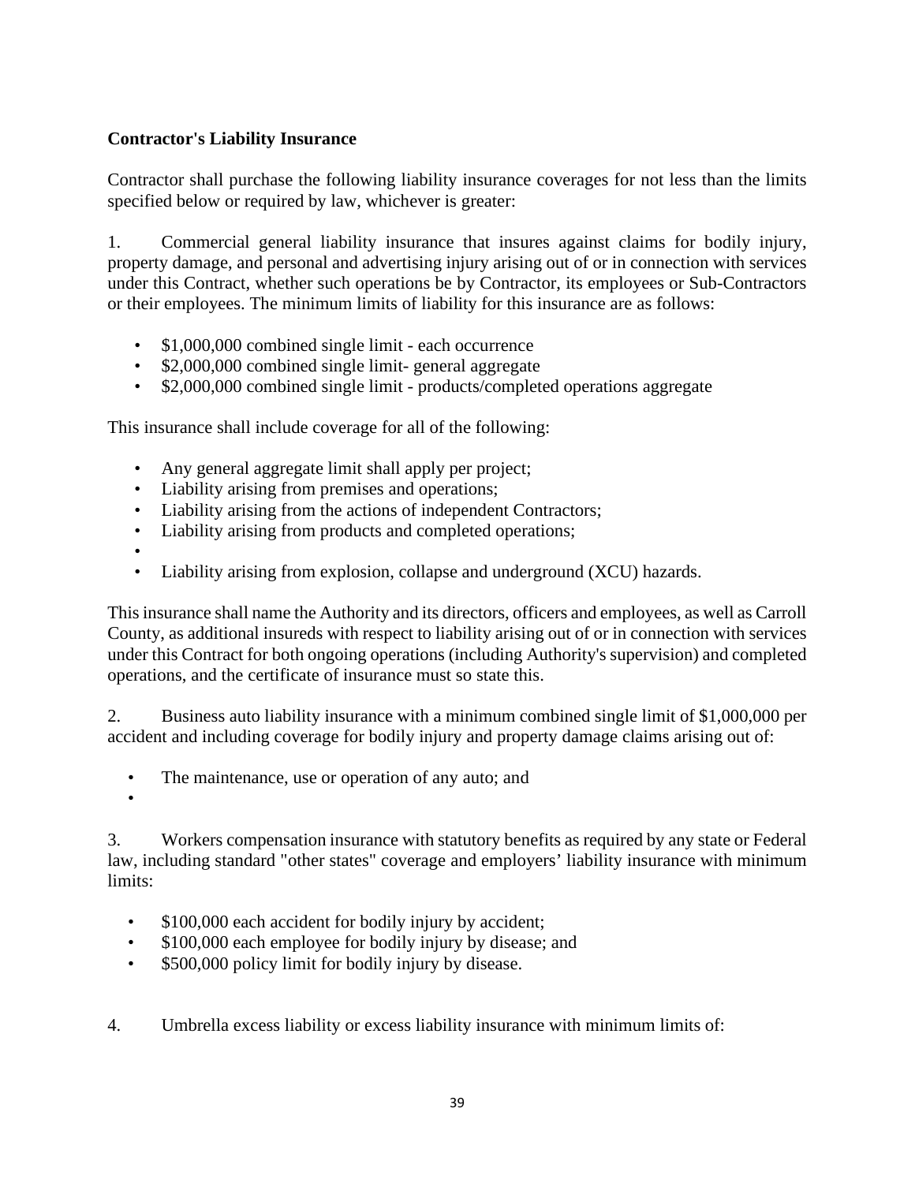# **Contractor's Liability Insurance**

Contractor shall purchase the following liability insurance coverages for not less than the limits specified below or required by law, whichever is greater:

1. Commercial general liability insurance that insures against claims for bodily injury, property damage, and personal and advertising injury arising out of or in connection with services under this Contract, whether such operations be by Contractor, its employees or Sub-Contractors or their employees. The minimum limits of liability for this insurance are as follows:

- \$1,000,000 combined single limit each occurrence
- \$2,000,000 combined single limit-general aggregate
- \$2,000,000 combined single limit products/completed operations aggregate

This insurance shall include coverage for all of the following:

- Any general aggregate limit shall apply per project;
- Liability arising from premises and operations;
- Liability arising from the actions of independent Contractors;
- Liability arising from products and completed operations;
- •
- Liability arising from explosion, collapse and underground (XCU) hazards.

This insurance shall name the Authority and its directors, officers and employees, as well as Carroll County, as additional insureds with respect to liability arising out of or in connection with services under this Contract for both ongoing operations (including Authority's supervision) and completed operations, and the certificate of insurance must so state this.

2. Business auto liability insurance with a minimum combined single limit of \$1,000,000 per accident and including coverage for bodily injury and property damage claims arising out of:

- The maintenance, use or operation of any auto; and
- •

3. Workers compensation insurance with statutory benefits as required by any state or Federal law, including standard "other states" coverage and employers' liability insurance with minimum limits:

- \$100,000 each accident for bodily injury by accident;
- \$100,000 each employee for bodily injury by disease; and
- \$500,000 policy limit for bodily injury by disease.
- 4. Umbrella excess liability or excess liability insurance with minimum limits of: